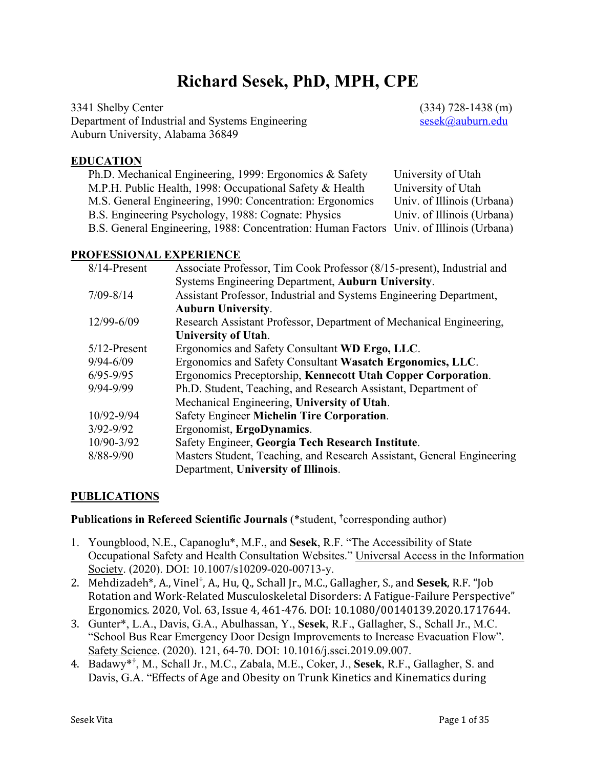# **Richard Sesek, PhD, MPH, CPE**

3341 Shelby Center (334) 728-1438 (m) Department of Industrial and Systems Engineering sesek@auburn.edu Auburn University, Alabama 36849

#### **EDUCATION**

| Ph.D. Mechanical Engineering, 1999: Ergonomics & Safety                                 | University of Utah         |
|-----------------------------------------------------------------------------------------|----------------------------|
| M.P.H. Public Health, 1998: Occupational Safety & Health                                | University of Utah         |
| M.S. General Engineering, 1990: Concentration: Ergonomics                               | Univ. of Illinois (Urbana) |
| B.S. Engineering Psychology, 1988: Cognate: Physics                                     | Univ. of Illinois (Urbana) |
| B.S. General Engineering, 1988: Concentration: Human Factors Univ. of Illinois (Urbana) |                            |

#### **PROFESSIONAL EXPERIENCE**

| 8/14-Present    | Associate Professor, Tim Cook Professor (8/15-present), Industrial and |
|-----------------|------------------------------------------------------------------------|
|                 | Systems Engineering Department, Auburn University.                     |
| $7/09 - 8/14$   | Assistant Professor, Industrial and Systems Engineering Department,    |
|                 | <b>Auburn University.</b>                                              |
| 12/99-6/09      | Research Assistant Professor, Department of Mechanical Engineering,    |
|                 | <b>University of Utah.</b>                                             |
| $5/12$ -Present | Ergonomics and Safety Consultant WD Ergo, LLC.                         |
| $9/94 - 6/09$   | Ergonomics and Safety Consultant Wasatch Ergonomics, LLC.              |
| $6/95 - 9/95$   | Ergonomics Preceptorship, Kennecott Utah Copper Corporation.           |
| 9/94-9/99       | Ph.D. Student, Teaching, and Research Assistant, Department of         |
|                 | Mechanical Engineering, University of Utah.                            |
| 10/92-9/94      | Safety Engineer Michelin Tire Corporation.                             |
| $3/92 - 9/92$   | Ergonomist, ErgoDynamics.                                              |
| 10/90-3/92      | Safety Engineer, Georgia Tech Research Institute.                      |
| 8/88-9/90       | Masters Student, Teaching, and Research Assistant, General Engineering |
|                 | Department, University of Illinois.                                    |

#### **PUBLICATIONS**

**Publications in Refereed Scientific Journals** (\*student, **†** corresponding author)

- 1. Youngblood, N.E., Capanoglu\*, M.F., and **Sesek**, R.F. "The Accessibility of State Occupational Safety and Health Consultation Websites." Universal Access in the Information Society. (2020). DOI: 10.1007/s10209-020-00713-y.
- 2. Mehdizadeh\*, A., Vinel<sup>†</sup>, A., Hu, Q., Schall Jr., M.C., Gallagher, S., and Sesek, R.F. "Job Rotation and Work-Related Musculoskeletal Disorders: A Fatigue-Failure Perspective" Ergonomics. 2020, Vol. 63, Issue 4, 461-476. DOI: 10.1080/00140139.2020.1717644.
- 3. Gunter\*, L.A., Davis, G.A., Abulhassan, Y., **Sesek**, R.F., Gallagher, S., Schall Jr., M.C. "School Bus Rear Emergency Door Design Improvements to Increase Evacuation Flow". Safety Science. (2020). 121, 64-70. DOI: 10.1016/j.ssci.2019.09.007.
- 4. Badawy\***†** , M., Schall Jr., M.C., Zabala, M.E., Coker, J., **Sesek**, R.F., Gallagher, S. and Davis, G.A. "Effects of Age and Obesity on Trunk Kinetics and Kinematics during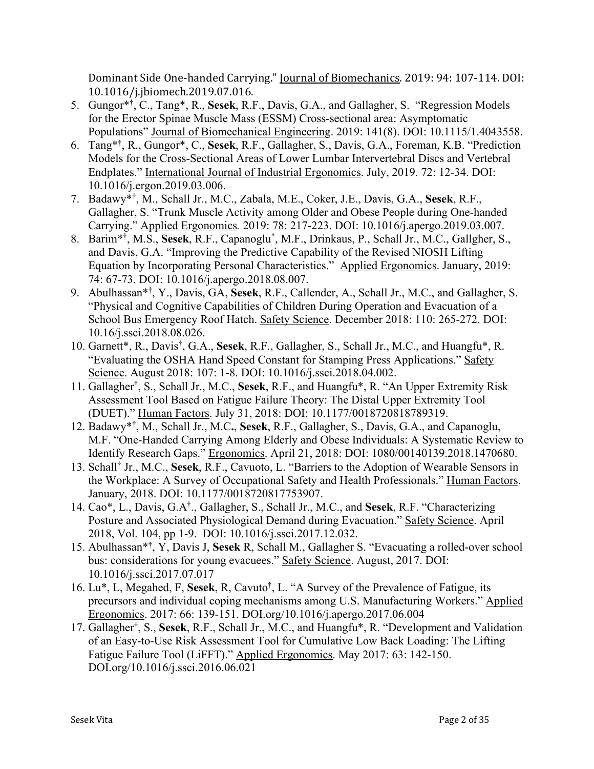Dominant Side One-handed Carrying." *Journal of Biomechanics.* 2019: 94: 107-114. DOI: 10.1016/j.jbiomech.2019.07.016.

- 5. Gungor\***†** , C., Tang\*, R., **Sesek**, R.F., Davis, G.A., and Gallagher, S. "Regression Models for the Erector Spinae Muscle Mass (ESSM) Cross-sectional area: Asymptomatic Populations" Journal of Biomechanical Engineering. 2019: 141(8). DOI: 10.1115/1.4043558.
- 6. Tang\***†** , R., Gungor\*, C., **Sesek**, R.F., Gallagher, S., Davis, G.A., Foreman, K.B. "Prediction Models for the Cross-Sectional Areas of Lower Lumbar Intervertebral Discs and Vertebral Endplates." International Journal of Industrial Ergonomics. July, 2019. 72: 12-34. DOI: 10.1016/j.ergon.2019.03.006.
- 7. Badawy\***†** , M., Schall Jr., M.C., Zabala, M.E., Coker, J.E., Davis, G.A., **Sesek**, R.F., Gallagher, S. "Trunk Muscle Activity among Older and Obese People during One-handed Carrying." Applied Ergonomics*.* 2019: 78: 217-223. DOI: 10.1016/j.apergo.2019.03.007.
- 8. Barim\***†** , M.S., **Sesek**, R.F., Capanoglu\* , M.F., Drinkaus, P., Schall Jr., M.C., Gallgher, S., and Davis, G.A. "Improving the Predictive Capability of the Revised NIOSH Lifting Equation by Incorporating Personal Characteristics." Applied Ergonomics. January, 2019: 74: 67-73. DOI: 10.1016/j.apergo.2018.08.007.
- 9. Abulhassan\***†** , Y., Davis, GA, **Sesek**, R.F., Callender, A., Schall Jr., M.C., and Gallagher, S. "Physical and Cognitive Capabilities of Children During Operation and Evacuation of a School Bus Emergency Roof Hatch. Safety Science. December 2018: 110: 265-272. DOI: 10.16/j.ssci.2018.08.026.
- 10. Garnett\*, R., Davis**†** , G.A., **Sesek**, R.F., Gallagher, S., Schall Jr., M.C., and Huangfu\*, R. "Evaluating the OSHA Hand Speed Constant for Stamping Press Applications." Safety Science. August 2018: 107: 1-8. DOI: 10.1016/j.ssci.2018.04.002.
- 11. Gallagher**†** , S., Schall Jr., M.C., **Sesek**, R.F., and Huangfu\*, R. "An Upper Extremity Risk Assessment Tool Based on Fatigue Failure Theory: The Distal Upper Extremity Tool (DUET)." Human Factors. July 31, 2018: DOI: 10.1177/0018720818789319.
- 12. Badawy\***†** , M., Schall Jr., M.C**.**, **Sesek**, R.F., Gallagher, S., Davis, G.A., and Capanoglu, M.F. "One-Handed Carrying Among Elderly and Obese Individuals: A Systematic Review to Identify Research Gaps." Ergonomics. April 21, 2018: DOI: 1080/00140139.2018.1470680.
- 13. Schall**†** Jr., M.C., **Sesek**, R.F., Cavuoto, L. "Barriers to the Adoption of Wearable Sensors in the Workplace: A Survey of Occupational Safety and Health Professionals." Human Factors. January, 2018. DOI: 10.1177/0018720817753907.
- 14. Cao\*, L., Davis, G.A**†** ., Gallagher, S., Schall Jr., M.C., and **Sesek**, R.F. "Characterizing Posture and Associated Physiological Demand during Evacuation." Safety Science. April 2018, Vol. 104, pp 1-9. DOI: 10.1016/j.ssci.2017.12.032.
- 15. Abulhassan\***†** , Y, Davis J, **Sesek** R, Schall M., Gallagher S. "Evacuating a rolled-over school bus: considerations for young evacuees." Safety Science. August, 2017. DOI: 10.1016/j.ssci.2017.07.017
- 16. Lu\*, L, Megahed, F, **Sesek**, R, Cavuto**†** , L. "A Survey of the Prevalence of Fatigue, its precursors and individual coping mechanisms among U.S. Manufacturing Workers." Applied Ergonomics. 2017: 66: 139-151. DOI.org/10.1016/j.apergo.2017.06.004
- 17. Gallagher**†** , S., **Sesek**, R.F., Schall Jr., M.C., and Huangfu\*, R. "Development and Validation of an Easy-to-Use Risk Assessment Tool for Cumulative Low Back Loading: The Lifting Fatigue Failure Tool (LiFFT)." Applied Ergonomics. May 2017: 63: 142-150. DOI.org/10.1016/j.ssci.2016.06.021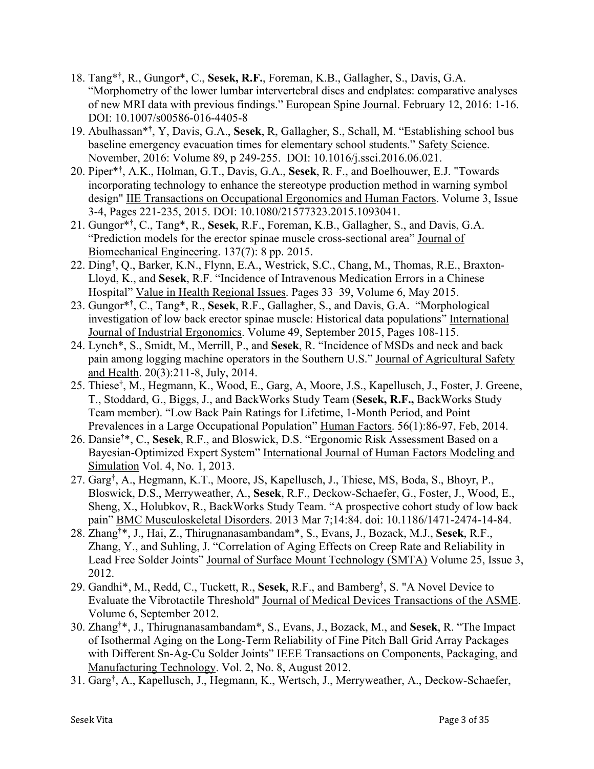- 18. Tang\***†** , R., Gungor\*, C., **Sesek, R.F.**, Foreman, K.B., Gallagher, S., Davis, G.A. "Morphometry of the lower lumbar intervertebral discs and endplates: comparative analyses of new MRI data with previous findings." European Spine Journal. February 12, 2016: 1-16. DOI: 10.1007/s00586-016-4405-8
- 19. Abulhassan\***†** , Y, Davis, G.A., **Sesek**, R, Gallagher, S., Schall, M. "Establishing school bus baseline emergency evacuation times for elementary school students." Safety Science. November, 2016: Volume 89, p 249-255. DOI: 10.1016/j.ssci.2016.06.021.
- 20. Piper\***†** , A.K., Holman, G.T., Davis, G.A., **Sesek**, R. F., and Boelhouwer, E.J. "Towards incorporating technology to enhance the stereotype production method in warning symbol design" IIE Transactions on Occupational Ergonomics and Human Factors. Volume 3, Issue 3-4, Pages 221-235, 2015. DOI: 10.1080/21577323.2015.1093041.
- 21. Gungor\***†** , C., Tang\*, R., **Sesek**, R.F., Foreman, K.B., Gallagher, S., and Davis, G.A. "Prediction models for the erector spinae muscle cross-sectional area" Journal of Biomechanical Engineering. 137(7): 8 pp. 2015.
- 22. Ding**†** , Q., Barker, K.N., Flynn, E.A., Westrick, S.C., Chang, M., Thomas, R.E., Braxton-Lloyd, K., and **Sesek**, R.F. "Incidence of Intravenous Medication Errors in a Chinese Hospital" Value in Health Regional Issues. Pages 33–39, Volume 6, May 2015.
- 23. Gungor\***†** , C., Tang\*, R., **Sesek**, R.F., Gallagher, S., and Davis, G.A. "Morphological investigation of low back erector spinae muscle: Historical data populations" International Journal of Industrial Ergonomics. Volume 49, September 2015, Pages 108-115.
- 24. Lynch\*, S., Smidt, M., Merrill, P., and **Sesek**, R. "Incidence of MSDs and neck and back pain among logging machine operators in the Southern U.S." Journal of Agricultural Safety and Health. 20(3):211-8, July, 2014.
- 25. Thiese**†** , M., Hegmann, K., Wood, E., Garg, A, Moore, J.S., Kapellusch, J., Foster, J. Greene, T., Stoddard, G., Biggs, J., and BackWorks Study Team (**Sesek, R.F.,** BackWorks Study Team member). "Low Back Pain Ratings for Lifetime, 1-Month Period, and Point Prevalences in a Large Occupational Population" Human Factors. 56(1):86-97, Feb, 2014.
- 26. Dansie**†** \*, C., **Sesek**, R.F., and Bloswick, D.S. "Ergonomic Risk Assessment Based on a Bayesian-Optimized Expert System" International Journal of Human Factors Modeling and Simulation Vol. 4, No. 1, 2013.
- 27. Garg**†** , A., Hegmann, K.T., Moore, JS, Kapellusch, J., Thiese, MS, Boda, S., Bhoyr, P., Bloswick, D.S., Merryweather, A., **Sesek**, R.F., Deckow-Schaefer, G., Foster, J., Wood, E., Sheng, X., Holubkov, R., BackWorks Study Team. "A prospective cohort study of low back pain" BMC Musculoskeletal Disorders. 2013 Mar 7;14:84. doi: 10.1186/1471-2474-14-84.
- 28. Zhang**†** \*, J., Hai, Z., Thirugnanasambandam\*, S., Evans, J., Bozack, M.J., **Sesek**, R.F., Zhang, Y., and Suhling, J. "Correlation of Aging Effects on Creep Rate and Reliability in Lead Free Solder Joints" Journal of Surface Mount Technology (SMTA) Volume 25, Issue 3, 2012.
- 29. Gandhi\*, M., Redd, C., Tuckett, R., **Sesek**, R.F., and Bamberg**†** , S. "A Novel Device to Evaluate the Vibrotactile Threshold" Journal of Medical Devices Transactions of the ASME. Volume 6, September 2012.
- 30. Zhang**†** \*, J., Thirugnanasambandam\*, S., Evans, J., Bozack, M., and **Sesek**, R. "The Impact of Isothermal Aging on the Long-Term Reliability of Fine Pitch Ball Grid Array Packages with Different Sn-Ag-Cu Solder Joints" IEEE Transactions on Components, Packaging, and Manufacturing Technology. Vol. 2, No. 8, August 2012.
- 31. Garg**†** , A., Kapellusch, J., Hegmann, K., Wertsch, J., Merryweather, A., Deckow-Schaefer,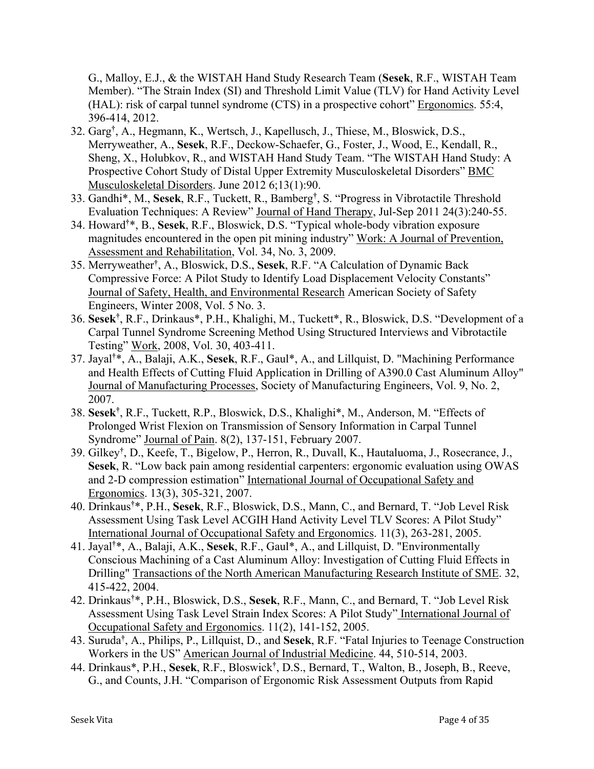G., Malloy, E.J., & the WISTAH Hand Study Research Team (**Sesek**, R.F., WISTAH Team Member). "The Strain Index (SI) and Threshold Limit Value (TLV) for Hand Activity Level (HAL): risk of carpal tunnel syndrome (CTS) in a prospective cohort" Ergonomics. 55:4, 396-414, 2012.

- 32. Garg**†** , A., Hegmann, K., Wertsch, J., Kapellusch, J., Thiese, M., Bloswick, D.S., Merryweather, A., **Sesek**, R.F., Deckow-Schaefer, G., Foster, J., Wood, E., Kendall, R., Sheng, X., Holubkov, R., and WISTAH Hand Study Team. "The WISTAH Hand Study: A Prospective Cohort Study of Distal Upper Extremity Musculoskeletal Disorders" BMC Musculoskeletal Disorders. June 2012 6;13(1):90.
- 33. Gandhi\*, M., **Sesek**, R.F., Tuckett, R., Bamberg**†** , S. "Progress in Vibrotactile Threshold Evaluation Techniques: A Review" Journal of Hand Therapy, Jul-Sep 2011 24(3):240-55.
- 34. Howard**†** \*, B., **Sesek**, R.F., Bloswick, D.S. "Typical whole-body vibration exposure magnitudes encountered in the open pit mining industry" Work: A Journal of Prevention, Assessment and Rehabilitation, Vol. 34, No. 3, 2009.
- 35. Merryweather**†** , A., Bloswick, D.S., **Sesek**, R.F. "A Calculation of Dynamic Back Compressive Force: A Pilot Study to Identify Load Displacement Velocity Constants" Journal of Safety, Health, and Environmental Research American Society of Safety Engineers, Winter 2008, Vol. 5 No. 3.
- 36. **Sesek†** , R.F., Drinkaus\*, P.H., Khalighi, M., Tuckett\*, R., Bloswick, D.S. "Development of a Carpal Tunnel Syndrome Screening Method Using Structured Interviews and Vibrotactile Testing" Work, 2008, Vol. 30, 403-411.
- 37. Jayal**†** \*, A., Balaji, A.K., **Sesek**, R.F., Gaul\*, A., and Lillquist, D. "Machining Performance and Health Effects of Cutting Fluid Application in Drilling of A390.0 Cast Aluminum Alloy" Journal of Manufacturing Processes, Society of Manufacturing Engineers, Vol. 9, No. 2, 2007.
- 38. **Sesek†** , R.F., Tuckett, R.P., Bloswick, D.S., Khalighi\*, M., Anderson, M. "Effects of Prolonged Wrist Flexion on Transmission of Sensory Information in Carpal Tunnel Syndrome" Journal of Pain. 8(2), 137-151, February 2007.
- 39. Gilkey**†** , D., Keefe, T., Bigelow, P., Herron, R., Duvall, K., Hautaluoma, J., Rosecrance, J., **Sesek**, R. "Low back pain among residential carpenters: ergonomic evaluation using OWAS and 2-D compression estimation" International Journal of Occupational Safety and Ergonomics. 13(3), 305-321, 2007.
- 40. Drinkaus**†** \*, P.H., **Sesek**, R.F., Bloswick, D.S., Mann, C., and Bernard, T. "Job Level Risk Assessment Using Task Level ACGIH Hand Activity Level TLV Scores: A Pilot Study" International Journal of Occupational Safety and Ergonomics. 11(3), 263-281, 2005.
- 41. Jayal**†** \*, A., Balaji, A.K., **Sesek**, R.F., Gaul\*, A., and Lillquist, D. "Environmentally Conscious Machining of a Cast Aluminum Alloy: Investigation of Cutting Fluid Effects in Drilling" Transactions of the North American Manufacturing Research Institute of SME. 32, 415-422, 2004.
- 42. Drinkaus**†** \*, P.H., Bloswick, D.S., **Sesek**, R.F., Mann, C., and Bernard, T. "Job Level Risk Assessment Using Task Level Strain Index Scores: A Pilot Study" International Journal of Occupational Safety and Ergonomics. 11(2), 141-152, 2005.
- 43. Suruda**†** , A., Philips, P., Lillquist, D., and **Sesek**, R.F. "Fatal Injuries to Teenage Construction Workers in the US" American Journal of Industrial Medicine. 44, 510-514, 2003.
- 44. Drinkaus\*, P.H., **Sesek**, R.F., Bloswick**†** , D.S., Bernard, T., Walton, B., Joseph, B., Reeve, G., and Counts, J.H. "Comparison of Ergonomic Risk Assessment Outputs from Rapid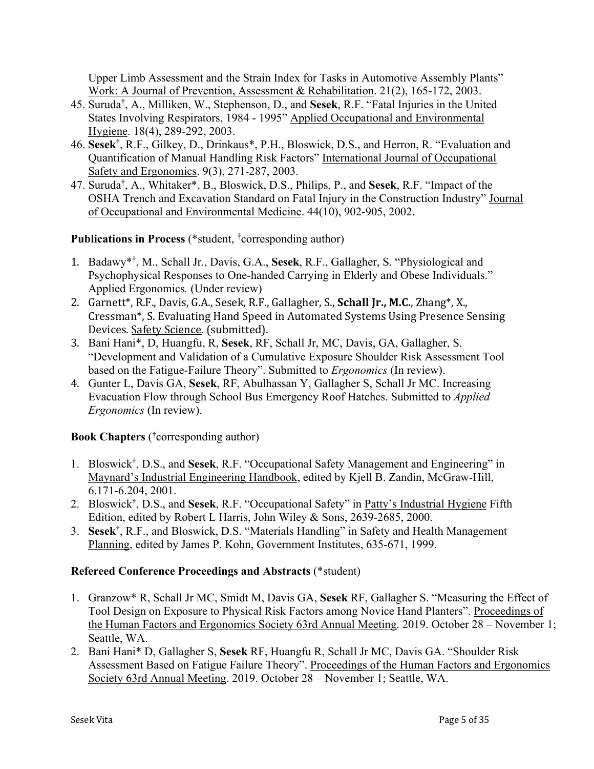Upper Limb Assessment and the Strain Index for Tasks in Automotive Assembly Plants" Work: A Journal of Prevention, Assessment & Rehabilitation. 21(2), 165-172, 2003.

- 45. Suruda**†** , A., Milliken, W., Stephenson, D., and **Sesek**, R.F. "Fatal Injuries in the United States Involving Respirators, 1984 - 1995" Applied Occupational and Environmental Hygiene. 18(4), 289-292, 2003.
- 46. **Sesek†** , R.F., Gilkey, D., Drinkaus\*, P.H., Bloswick, D.S., and Herron, R. "Evaluation and Quantification of Manual Handling Risk Factors" International Journal of Occupational Safety and Ergonomics. 9(3), 271-287, 2003.
- 47. Suruda**†** , A., Whitaker\*, B., Bloswick, D.S., Philips, P., and **Sesek**, R.F. "Impact of the OSHA Trench and Excavation Standard on Fatal Injury in the Construction Industry" Journal of Occupational and Environmental Medicine. 44(10), 902-905, 2002.

**Publications in Process** (\*student, **†** corresponding author)

- 1. Badawy\***†** , M., Schall Jr., Davis, G.A., **Sesek**, R.F., Gallagher, S. "Physiological and Psychophysical Responses to One-handed Carrying in Elderly and Obese Individuals." Applied Ergonomics*.* (Under review)
- 2. Garnett\*, R.F., Davis, G.A., Sesek, R.F., Gallagher, S., **Schall Jr., M.C.**, Zhang\*, X., Cressman<sup>\*</sup>, S. Evaluating Hand Speed in Automated Systems Using Presence Sensing Devices. Safety Science*.* (submitted).
- 3. Bani Hani\*, D, Huangfu, R, **Sesek**, RF, Schall Jr, MC, Davis, GA, Gallagher, S. "Development and Validation of a Cumulative Exposure Shoulder Risk Assessment Tool based on the Fatigue-Failure Theory". Submitted to *Ergonomics* (In review).
- 4. Gunter L, Davis GA, **Sesek**, RF, Abulhassan Y, Gallagher S, Schall Jr MC. Increasing Evacuation Flow through School Bus Emergency Roof Hatches. Submitted to *Applied Ergonomics* (In review).

**Book Chapters** ( **†** corresponding author)

- 1. Bloswick**†** , D.S., and **Sesek**, R.F. "Occupational Safety Management and Engineering" in Maynard's Industrial Engineering Handbook, edited by Kjell B. Zandin, McGraw-Hill, 6.171-6.204, 2001.
- 2. Bloswick**†** , D.S., and **Sesek**, R.F. "Occupational Safety" in Patty's Industrial Hygiene Fifth Edition, edited by Robert L Harris, John Wiley & Sons, 2639-2685, 2000.
- 3. **Sesek†** , R.F., and Bloswick, D.S. "Materials Handling" in Safety and Health Management Planning, edited by James P. Kohn, Government Institutes, 635-671, 1999.

# **Refereed Conference Proceedings and Abstracts** (\*student)

- 1. Granzow\* R, Schall Jr MC, Smidt M, Davis GA, **Sesek** RF, Gallagher S. "Measuring the Effect of Tool Design on Exposure to Physical Risk Factors among Novice Hand Planters". Proceedings of the Human Factors and Ergonomics Society 63rd Annual Meeting. 2019. October 28 – November 1; Seattle, WA.
- 2. Bani Hani\* D, Gallagher S, **Sesek** RF, Huangfu R, Schall Jr MC, Davis GA. "Shoulder Risk Assessment Based on Fatigue Failure Theory". Proceedings of the Human Factors and Ergonomics Society 63rd Annual Meeting. 2019. October 28 – November 1; Seattle, WA.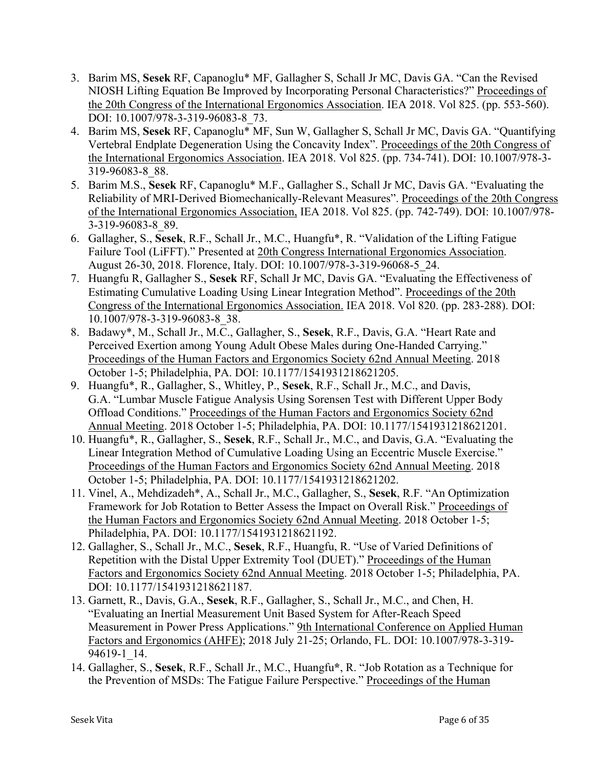- 3. Barim MS, **Sesek** RF, Capanoglu\* MF, Gallagher S, Schall Jr MC, Davis GA. "Can the Revised NIOSH Lifting Equation Be Improved by Incorporating Personal Characteristics?" Proceedings of the 20th Congress of the International Ergonomics Association. IEA 2018. Vol 825. (pp. 553-560). DOI: 10.1007/978-3-319-96083-8\_73.
- 4. Barim MS, **Sesek** RF, Capanoglu\* MF, Sun W, Gallagher S, Schall Jr MC, Davis GA. "Quantifying Vertebral Endplate Degeneration Using the Concavity Index". Proceedings of the 20th Congress of the International Ergonomics Association. IEA 2018. Vol 825. (pp. 734-741). DOI: 10.1007/978-3- 319-96083-8\_88.
- 5. Barim M.S., **Sesek** RF, Capanoglu\* M.F., Gallagher S., Schall Jr MC, Davis GA. "Evaluating the Reliability of MRI-Derived Biomechanically-Relevant Measures". Proceedings of the 20th Congress of the International Ergonomics Association, IEA 2018. Vol 825. (pp. 742-749). DOI: 10.1007/978- 3-319-96083-8\_89.
- 6. Gallagher, S., **Sesek**, R.F., Schall Jr., M.C., Huangfu\*, R. "Validation of the Lifting Fatigue Failure Tool (LiFFT)." Presented at 20th Congress International Ergonomics Association. August 26-30, 2018. Florence, Italy. DOI: 10.1007/978-3-319-96068-5\_24.
- 7. Huangfu R, Gallagher S., **Sesek** RF, Schall Jr MC, Davis GA. "Evaluating the Effectiveness of Estimating Cumulative Loading Using Linear Integration Method". Proceedings of the 20th Congress of the International Ergonomics Association. IEA 2018. Vol 820. (pp. 283-288). DOI: 10.1007/978-3-319-96083-8\_38.
- 8. Badawy\*, M., Schall Jr., M.C., Gallagher, S., **Sesek**, R.F., Davis, G.A. "Heart Rate and Perceived Exertion among Young Adult Obese Males during One-Handed Carrying." Proceedings of the Human Factors and Ergonomics Society 62nd Annual Meeting. 2018 October 1-5; Philadelphia, PA. DOI: 10.1177/1541931218621205.
- 9. Huangfu\*, R., Gallagher, S., Whitley, P., **Sesek**, R.F., Schall Jr., M.C., and Davis, G.A. "Lumbar Muscle Fatigue Analysis Using Sorensen Test with Different Upper Body Offload Conditions." Proceedings of the Human Factors and Ergonomics Society 62nd Annual Meeting. 2018 October 1-5; Philadelphia, PA. DOI: 10.1177/1541931218621201.
- 10. Huangfu\*, R., Gallagher, S., **Sesek**, R.F., Schall Jr., M.C., and Davis, G.A. "Evaluating the Linear Integration Method of Cumulative Loading Using an Eccentric Muscle Exercise." Proceedings of the Human Factors and Ergonomics Society 62nd Annual Meeting. 2018 October 1-5; Philadelphia, PA. DOI: 10.1177/1541931218621202.
- 11. Vinel, A., Mehdizadeh\*, A., Schall Jr., M.C., Gallagher, S., **Sesek**, R.F. "An Optimization Framework for Job Rotation to Better Assess the Impact on Overall Risk." Proceedings of the Human Factors and Ergonomics Society 62nd Annual Meeting. 2018 October 1-5; Philadelphia, PA. DOI: 10.1177/1541931218621192.
- 12. Gallagher, S., Schall Jr., M.C., **Sesek**, R.F., Huangfu, R. "Use of Varied Definitions of Repetition with the Distal Upper Extremity Tool (DUET)." Proceedings of the Human Factors and Ergonomics Society 62nd Annual Meeting. 2018 October 1-5; Philadelphia, PA. DOI: 10.1177/1541931218621187.
- 13. Garnett, R., Davis, G.A., **Sesek**, R.F., Gallagher, S., Schall Jr., M.C., and Chen, H. "Evaluating an Inertial Measurement Unit Based System for After-Reach Speed Measurement in Power Press Applications." 9th International Conference on Applied Human Factors and Ergonomics (AHFE); 2018 July 21-25; Orlando, FL. DOI: 10.1007/978-3-319- 94619-1\_14.
- 14. Gallagher, S., **Sesek**, R.F., Schall Jr., M.C., Huangfu**\***, R. "Job Rotation as a Technique for the Prevention of MSDs: The Fatigue Failure Perspective." Proceedings of the Human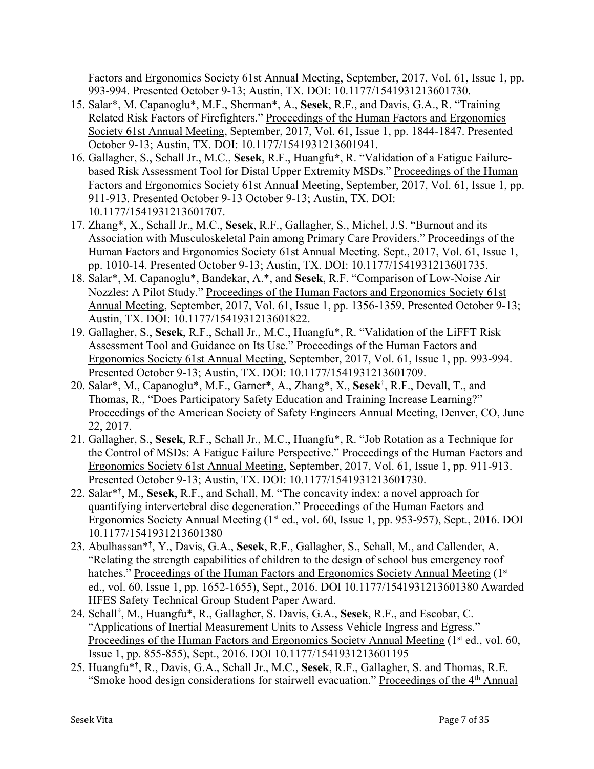Factors and Ergonomics Society 61st Annual Meeting, September, 2017, Vol. 61, Issue 1, pp. 993-994. Presented October 9-13; Austin, TX. DOI: 10.1177/1541931213601730.

- 15. Salar\*, M. Capanoglu\*, M.F., Sherman\*, A., **Sesek**, R.F., and Davis, G.A., R. "Training Related Risk Factors of Firefighters." Proceedings of the Human Factors and Ergonomics Society 61st Annual Meeting, September, 2017, Vol. 61, Issue 1, pp. 1844-1847. Presented October 9-13; Austin, TX. DOI: 10.1177/1541931213601941.
- 16. Gallagher, S., Schall Jr., M.C., **Sesek**, R.F., Huangfu**\***, R. "Validation of a Fatigue Failurebased Risk Assessment Tool for Distal Upper Extremity MSDs." Proceedings of the Human Factors and Ergonomics Society 61st Annual Meeting, September, 2017, Vol. 61, Issue 1, pp. 911-913. Presented October 9-13 October 9-13; Austin, TX. DOI: 10.1177/1541931213601707.
- 17. Zhang\*, X., Schall Jr., M.C., **Sesek**, R.F., Gallagher, S., Michel, J.S. "Burnout and its Association with Musculoskeletal Pain among Primary Care Providers." Proceedings of the Human Factors and Ergonomics Society 61st Annual Meeting. Sept., 2017, Vol. 61, Issue 1, pp. 1010-14. Presented October 9-13; Austin, TX. DOI: 10.1177/1541931213601735.
- 18. Salar\*, M. Capanoglu\*, Bandekar, A.\*, and **Sesek**, R.F. "Comparison of Low-Noise Air Nozzles: A Pilot Study." Proceedings of the Human Factors and Ergonomics Society 61st Annual Meeting, September, 2017, Vol. 61, Issue 1, pp. 1356-1359. Presented October 9-13; Austin, TX. DOI: 10.1177/1541931213601822.
- 19. Gallagher, S., **Sesek**, R.F., Schall Jr., M.C., Huangfu\*, R. "Validation of the LiFFT Risk Assessment Tool and Guidance on Its Use." Proceedings of the Human Factors and Ergonomics Society 61st Annual Meeting, September, 2017, Vol. 61, Issue 1, pp. 993-994. Presented October 9-13; Austin, TX. DOI: 10.1177/1541931213601709.
- 20. Salar\*, M., Capanoglu\*, M.F., Garner\*, A., Zhang\*, X., **Sesek**† , R.F., Devall, T., and Thomas, R., "Does Participatory Safety Education and Training Increase Learning?" Proceedings of the American Society of Safety Engineers Annual Meeting, Denver, CO, June 22, 2017.
- 21. Gallagher, S., **Sesek**, R.F., Schall Jr., M.C., Huangfu\*, R. "Job Rotation as a Technique for the Control of MSDs: A Fatigue Failure Perspective." Proceedings of the Human Factors and Ergonomics Society 61st Annual Meeting, September, 2017, Vol. 61, Issue 1, pp. 911-913. Presented October 9-13; Austin, TX. DOI: 10.1177/1541931213601730.
- 22. Salar\*† , M., **Sesek**, R.F., and Schall, M. "The concavity index: a novel approach for quantifying intervertebral disc degeneration." Proceedings of the Human Factors and Ergonomics Society Annual Meeting (1<sup>st</sup> ed., vol. 60, Issue 1, pp. 953-957), Sept., 2016. DOI 10.1177/1541931213601380
- 23. Abulhassan\***†** , Y., Davis, G.A., **Sesek**, R.F., Gallagher, S., Schall, M., and Callender, A. "Relating the strength capabilities of children to the design of school bus emergency roof hatches." Proceedings of the Human Factors and Ergonomics Society Annual Meeting (1st) ed., vol. 60, Issue 1, pp. 1652-1655), Sept., 2016. DOI 10.1177/1541931213601380 Awarded HFES Safety Technical Group Student Paper Award.
- 24. Schall**†** , M., Huangfu\*, R., Gallagher, S. Davis, G.A., **Sesek**, R.F., and Escobar, C. "Applications of Inertial Measurement Units to Assess Vehicle Ingress and Egress." Proceedings of the Human Factors and Ergonomics Society Annual Meeting (1<sup>st</sup> ed., vol. 60, Issue 1, pp. 855-855), Sept., 2016. DOI 10.1177/1541931213601195
- 25. Huangfu\***†** , R., Davis, G.A., Schall Jr., M.C., **Sesek**, R.F., Gallagher, S. and Thomas, R.E. "Smoke hood design considerations for stairwell evacuation." Proceedings of the 4<sup>th</sup> Annual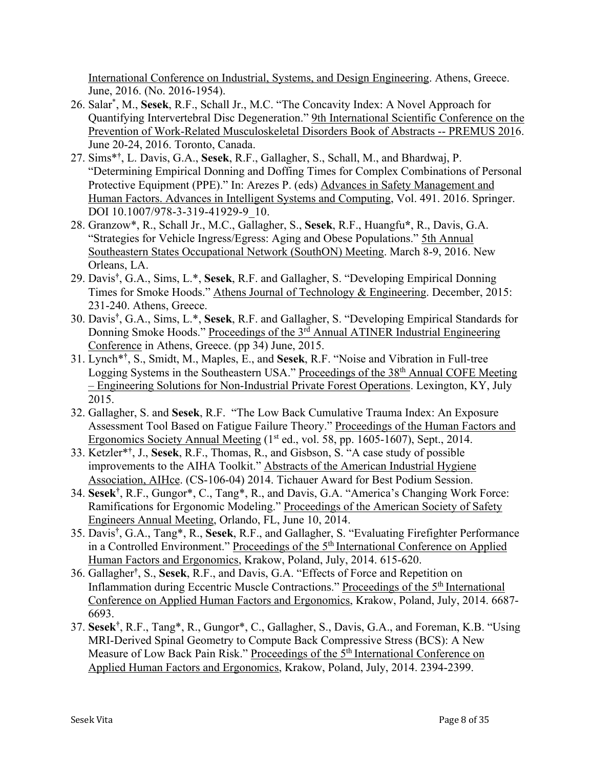International Conference on Industrial, Systems, and Design Engineering. Athens, Greece. June, 2016. (No. 2016-1954).

- 26. Salar\* , M., **Sesek**, R.F., Schall Jr., M.C. "The Concavity Index: A Novel Approach for Quantifying Intervertebral Disc Degeneration." 9th International Scientific Conference on the Prevention of Work-Related Musculoskeletal Disorders Book of Abstracts -- PREMUS 2016. June 20-24, 2016. Toronto, Canada.
- 27. Sims\***†** , L. Davis, G.A., **Sesek**, R.F., Gallagher, S., Schall, M., and Bhardwaj, P. "Determining Empirical Donning and Doffing Times for Complex Combinations of Personal Protective Equipment (PPE)." In: Arezes P. (eds) Advances in Safety Management and Human Factors. Advances in Intelligent Systems and Computing, Vol. 491. 2016. Springer. DOI 10.1007/978-3-319-41929-9\_10.
- 28. Granzow\*, R., Schall Jr., M.C., Gallagher, S., **Sesek**, R.F., Huangfu**\***, R., Davis, G.A. "Strategies for Vehicle Ingress/Egress: Aging and Obese Populations." 5th Annual Southeastern States Occupational Network (SouthON) Meeting. March 8-9, 2016. New Orleans, LA.
- 29. Davis**†** , G.A., Sims, L.\*, **Sesek**, R.F. and Gallagher, S. "Developing Empirical Donning Times for Smoke Hoods." Athens Journal of Technology & Engineering. December, 2015: 231-240. Athens, Greece.
- 30. Davis**†** , G.A., Sims, L.\*, **Sesek**, R.F. and Gallagher, S. "Developing Empirical Standards for Donning Smoke Hoods." Proceedings of the 3<sup>rd</sup> Annual ATINER Industrial Engineering Conference in Athens, Greece. (pp 34) June, 2015.
- 31. Lynch\***†** , S., Smidt, M., Maples, E., and **Sesek**, R.F. "Noise and Vibration in Full-tree Logging Systems in the Southeastern USA." Proceedings of the 38th Annual COFE Meeting – Engineering Solutions for Non-Industrial Private Forest Operations. Lexington, KY, July 2015.
- 32. Gallagher, S. and **Sesek**, R.F. "The Low Back Cumulative Trauma Index: An Exposure Assessment Tool Based on Fatigue Failure Theory." Proceedings of the Human Factors and Ergonomics Society Annual Meeting (1<sup>st</sup> ed., vol. 58, pp. 1605-1607), Sept., 2014.
- 33. Ketzler\***†** , J., **Sesek**, R.F., Thomas, R., and Gisbson, S. "A case study of possible improvements to the AIHA Toolkit." Abstracts of the American Industrial Hygiene Association, AIHce. (CS-106-04) 2014. Tichauer Award for Best Podium Session.
- 34. **Sesek†** , R.F., Gungor\*, C., Tang\*, R., and Davis, G.A. "America's Changing Work Force: Ramifications for Ergonomic Modeling." Proceedings of the American Society of Safety Engineers Annual Meeting, Orlando, FL, June 10, 2014.
- 35. Davis**†** , G.A., Tang\*, R., **Sesek**, R.F., and Gallagher, S. "Evaluating Firefighter Performance in a Controlled Environment." Proceedings of the 5<sup>th</sup> International Conference on Applied Human Factors and Ergonomics, Krakow, Poland, July, 2014. 615-620.
- 36. Gallagher **†** , S., **Sesek**, R.F., and Davis, G.A. "Effects of Force and Repetition on Inflammation during Eccentric Muscle Contractions." Proceedings of the 5th International Conference on Applied Human Factors and Ergonomics, Krakow, Poland, July, 2014. 6687- 6693.
- 37. **Sesek†** , R.F., Tang\*, R., Gungor\*, C., Gallagher, S., Davis, G.A., and Foreman, K.B. "Using MRI-Derived Spinal Geometry to Compute Back Compressive Stress (BCS): A New Measure of Low Back Pain Risk." Proceedings of the 5<sup>th</sup> International Conference on Applied Human Factors and Ergonomics, Krakow, Poland, July, 2014. 2394-2399.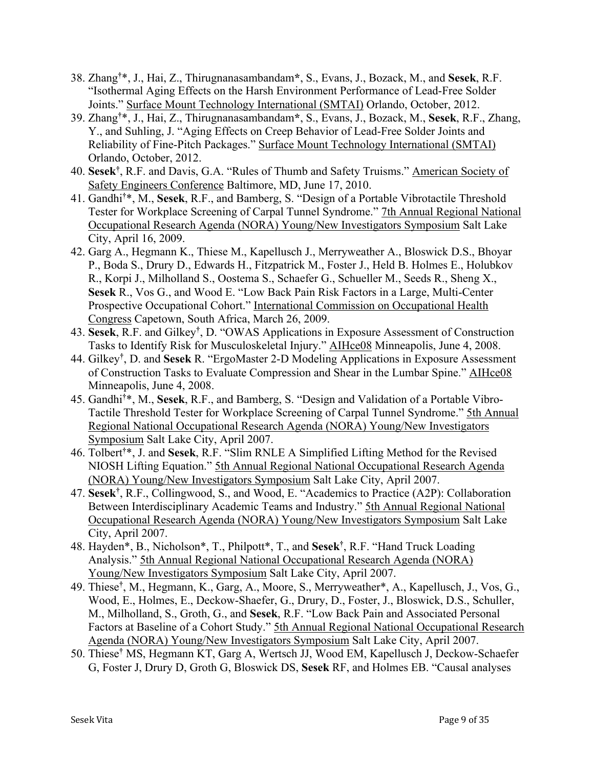- 38. Zhang**†** \*, J., Hai, Z., Thirugnanasambandam**\***, S., Evans, J., Bozack, M., and **Sesek**, R.F. "Isothermal Aging Effects on the Harsh Environment Performance of Lead-Free Solder Joints." Surface Mount Technology International (SMTAI) Orlando, October, 2012.
- 39. Zhang**†** \*, J., Hai, Z., Thirugnanasambandam**\***, S., Evans, J., Bozack, M., **Sesek**, R.F., Zhang, Y., and Suhling, J. "Aging Effects on Creep Behavior of Lead-Free Solder Joints and Reliability of Fine-Pitch Packages." Surface Mount Technology International (SMTAI) Orlando, October, 2012.
- 40. **Sesek†** , R.F. and Davis, G.A. "Rules of Thumb and Safety Truisms." American Society of Safety Engineers Conference Baltimore, MD, June 17, 2010.
- 41. Gandhi**†** \*, M., **Sesek**, R.F., and Bamberg, S. "Design of a Portable Vibrotactile Threshold Tester for Workplace Screening of Carpal Tunnel Syndrome." 7th Annual Regional National Occupational Research Agenda (NORA) Young/New Investigators Symposium Salt Lake City, April 16, 2009.
- 42. Garg A., Hegmann K., Thiese M., Kapellusch J., Merryweather A., Bloswick D.S., Bhoyar P., Boda S., Drury D., Edwards H., Fitzpatrick M., Foster J., Held B. Holmes E., Holubkov R., Korpi J., Milholland S., Oostema S., Schaefer G., Schueller M., Seeds R., Sheng X., **Sesek** R., Vos G., and Wood E. "Low Back Pain Risk Factors in a Large, Multi-Center Prospective Occupational Cohort." International Commission on Occupational Health Congress Capetown, South Africa, March 26, 2009.
- 43. **Sesek**, R.F. and Gilkey**†** , D. "OWAS Applications in Exposure Assessment of Construction Tasks to Identify Risk for Musculoskeletal Injury." AIHce08 Minneapolis, June 4, 2008.
- 44. Gilkey**†** , D. and **Sesek** R. "ErgoMaster 2-D Modeling Applications in Exposure Assessment of Construction Tasks to Evaluate Compression and Shear in the Lumbar Spine." AIHce08 Minneapolis, June 4, 2008.
- 45. Gandhi**†** \*, M., **Sesek**, R.F., and Bamberg, S. "Design and Validation of a Portable Vibro-Tactile Threshold Tester for Workplace Screening of Carpal Tunnel Syndrome." 5th Annual Regional National Occupational Research Agenda (NORA) Young/New Investigators Symposium Salt Lake City, April 2007.
- 46. Tolbert**†** \*, J. and **Sesek**, R.F. "Slim RNLE A Simplified Lifting Method for the Revised NIOSH Lifting Equation." 5th Annual Regional National Occupational Research Agenda (NORA) Young/New Investigators Symposium Salt Lake City, April 2007.
- 47. **Sesek†** , R.F., Collingwood, S., and Wood, E. "Academics to Practice (A2P): Collaboration Between Interdisciplinary Academic Teams and Industry." 5th Annual Regional National Occupational Research Agenda (NORA) Young/New Investigators Symposium Salt Lake City, April 2007.
- 48. Hayden\*, B., Nicholson\*, T., Philpott\*, T., and **Sesek†** , R.F. "Hand Truck Loading Analysis." 5th Annual Regional National Occupational Research Agenda (NORA) Young/New Investigators Symposium Salt Lake City, April 2007.
- 49. Thiese**†** , M., Hegmann, K., Garg, A., Moore, S., Merryweather\*, A., Kapellusch, J., Vos, G., Wood, E., Holmes, E., Deckow-Shaefer, G., Drury, D., Foster, J., Bloswick, D.S., Schuller, M., Milholland, S., Groth, G., and **Sesek**, R.F. "Low Back Pain and Associated Personal Factors at Baseline of a Cohort Study." 5th Annual Regional National Occupational Research Agenda (NORA) Young/New Investigators Symposium Salt Lake City, April 2007.
- 50. Thiese**†** MS, Hegmann KT, Garg A, Wertsch JJ, Wood EM, Kapellusch J, Deckow-Schaefer G, Foster J, Drury D, Groth G, Bloswick DS, **Sesek** RF, and Holmes EB. "Causal analyses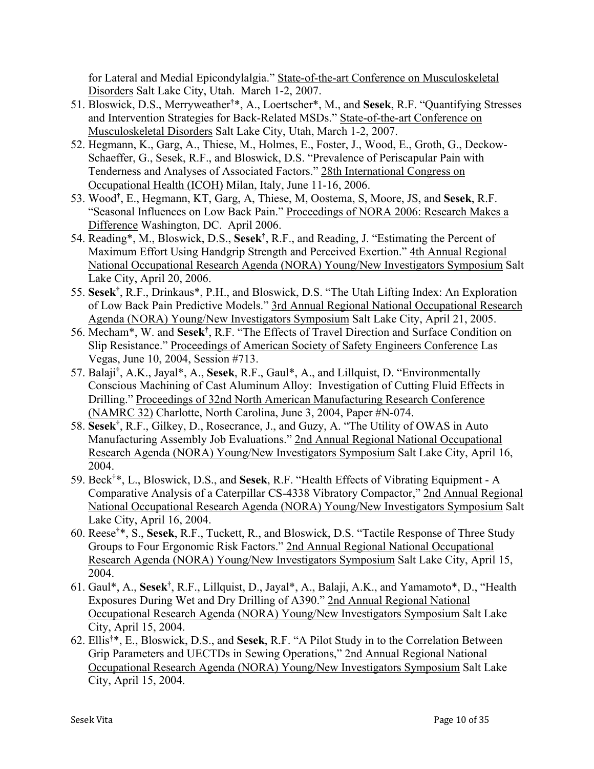for Lateral and Medial Epicondylalgia." State-of-the-art Conference on Musculoskeletal Disorders Salt Lake City, Utah. March 1-2, 2007.

- 51. Bloswick, D.S., Merryweather**†** \*, A., Loertscher\*, M., and **Sesek**, R.F. "Quantifying Stresses and Intervention Strategies for Back-Related MSDs." State-of-the-art Conference on Musculoskeletal Disorders Salt Lake City, Utah, March 1-2, 2007.
- 52. Hegmann, K., Garg, A., Thiese, M., Holmes, E., Foster, J., Wood, E., Groth, G., Deckow-Schaeffer, G., Sesek, R.F., and Bloswick, D.S. "Prevalence of Periscapular Pain with Tenderness and Analyses of Associated Factors." 28th International Congress on Occupational Health (ICOH) Milan, Italy, June 11-16, 2006.
- 53. Wood**†** , E., Hegmann, KT, Garg, A, Thiese, M, Oostema, S, Moore, JS, and **Sesek**, R.F. "Seasonal Influences on Low Back Pain." Proceedings of NORA 2006: Research Makes a Difference Washington, DC. April 2006.
- 54. Reading\*, M., Bloswick, D.S., **Sesek†** , R.F., and Reading, J. "Estimating the Percent of Maximum Effort Using Handgrip Strength and Perceived Exertion." 4th Annual Regional National Occupational Research Agenda (NORA) Young/New Investigators Symposium Salt Lake City, April 20, 2006.
- 55. **Sesek†** , R.F., Drinkaus\*, P.H., and Bloswick, D.S. "The Utah Lifting Index: An Exploration of Low Back Pain Predictive Models." 3rd Annual Regional National Occupational Research Agenda (NORA) Young/New Investigators Symposium Salt Lake City, April 21, 2005.
- 56. Mecham\*, W. and **Sesek†** , R.F. "The Effects of Travel Direction and Surface Condition on Slip Resistance." Proceedings of American Society of Safety Engineers Conference Las Vegas, June 10, 2004, Session #713.
- 57. Balaji**†** , A.K., Jayal\*, A., **Sesek**, R.F., Gaul\*, A., and Lillquist, D. "Environmentally Conscious Machining of Cast Aluminum Alloy: Investigation of Cutting Fluid Effects in Drilling." Proceedings of 32nd North American Manufacturing Research Conference (NAMRC 32) Charlotte, North Carolina, June 3, 2004, Paper #N-074.
- 58. **Sesek†** , R.F., Gilkey, D., Rosecrance, J., and Guzy, A. "The Utility of OWAS in Auto Manufacturing Assembly Job Evaluations." 2nd Annual Regional National Occupational Research Agenda (NORA) Young/New Investigators Symposium Salt Lake City, April 16, 2004.
- 59. Beck**†** \*, L., Bloswick, D.S., and **Sesek**, R.F. "Health Effects of Vibrating Equipment A Comparative Analysis of a Caterpillar CS-4338 Vibratory Compactor," 2nd Annual Regional National Occupational Research Agenda (NORA) Young/New Investigators Symposium Salt Lake City, April 16, 2004.
- 60. Reese**†** \*, S., **Sesek**, R.F., Tuckett, R., and Bloswick, D.S. "Tactile Response of Three Study Groups to Four Ergonomic Risk Factors." 2nd Annual Regional National Occupational Research Agenda (NORA) Young/New Investigators Symposium Salt Lake City, April 15, 2004.
- 61. Gaul\*, A., **Sesek†** , R.F., Lillquist, D., Jayal\*, A., Balaji, A.K., and Yamamoto\*, D., "Health Exposures During Wet and Dry Drilling of A390." 2nd Annual Regional National Occupational Research Agenda (NORA) Young/New Investigators Symposium Salt Lake City, April 15, 2004.
- 62. Ellis**†** \*, E., Bloswick, D.S., and **Sesek**, R.F. "A Pilot Study in to the Correlation Between Grip Parameters and UECTDs in Sewing Operations," 2nd Annual Regional National Occupational Research Agenda (NORA) Young/New Investigators Symposium Salt Lake City, April 15, 2004.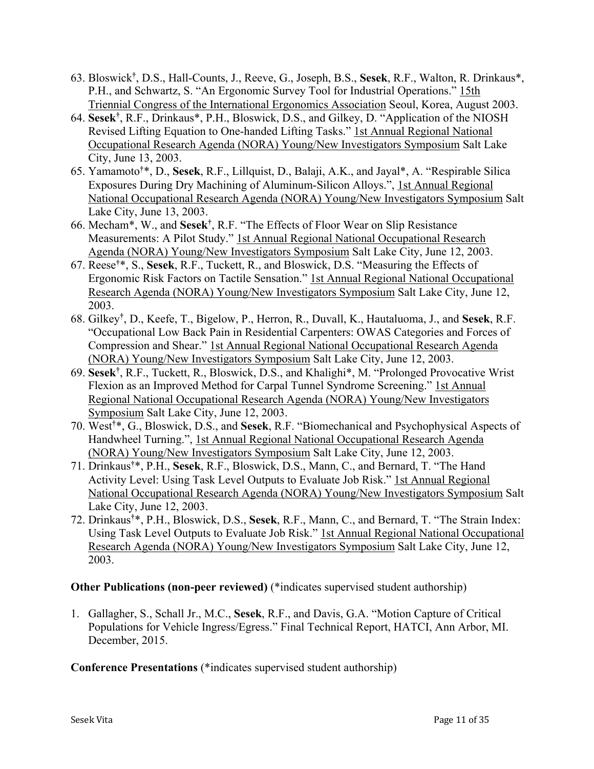- 63. Bloswick**†** , D.S., Hall-Counts, J., Reeve, G., Joseph, B.S., **Sesek**, R.F., Walton, R. Drinkaus\*, P.H., and Schwartz, S. "An Ergonomic Survey Tool for Industrial Operations." 15th Triennial Congress of the International Ergonomics Association Seoul, Korea, August 2003.
- 64. **Sesek†** , R.F., Drinkaus\*, P.H., Bloswick, D.S., and Gilkey, D. "Application of the NIOSH Revised Lifting Equation to One-handed Lifting Tasks." 1st Annual Regional National Occupational Research Agenda (NORA) Young/New Investigators Symposium Salt Lake City, June 13, 2003.
- 65. Yamamoto**†** \*, D., **Sesek**, R.F., Lillquist, D., Balaji, A.K., and Jayal\*, A. "Respirable Silica Exposures During Dry Machining of Aluminum-Silicon Alloys.", 1st Annual Regional National Occupational Research Agenda (NORA) Young/New Investigators Symposium Salt Lake City, June 13, 2003.
- 66. Mecham\*, W., and **Sesek†** , R.F. "The Effects of Floor Wear on Slip Resistance Measurements: A Pilot Study." 1st Annual Regional National Occupational Research Agenda (NORA) Young/New Investigators Symposium Salt Lake City, June 12, 2003.
- 67. Reese**†** \*, S., **Sesek**, R.F., Tuckett, R., and Bloswick, D.S. "Measuring the Effects of Ergonomic Risk Factors on Tactile Sensation." 1st Annual Regional National Occupational Research Agenda (NORA) Young/New Investigators Symposium Salt Lake City, June 12, 2003.
- 68. Gilkey**†** , D., Keefe, T., Bigelow, P., Herron, R., Duvall, K., Hautaluoma, J., and **Sesek**, R.F. "Occupational Low Back Pain in Residential Carpenters: OWAS Categories and Forces of Compression and Shear." 1st Annual Regional National Occupational Research Agenda (NORA) Young/New Investigators Symposium Salt Lake City, June 12, 2003.
- 69. **Sesek†** , R.F., Tuckett, R., Bloswick, D.S., and Khalighi\*, M. "Prolonged Provocative Wrist Flexion as an Improved Method for Carpal Tunnel Syndrome Screening." 1st Annual Regional National Occupational Research Agenda (NORA) Young/New Investigators Symposium Salt Lake City, June 12, 2003.
- 70. West**†** \*, G., Bloswick, D.S., and **Sesek**, R.F. "Biomechanical and Psychophysical Aspects of Handwheel Turning.", 1st Annual Regional National Occupational Research Agenda (NORA) Young/New Investigators Symposium Salt Lake City, June 12, 2003.
- 71. Drinkaus**†** \*, P.H., **Sesek**, R.F., Bloswick, D.S., Mann, C., and Bernard, T. "The Hand Activity Level: Using Task Level Outputs to Evaluate Job Risk." 1st Annual Regional National Occupational Research Agenda (NORA) Young/New Investigators Symposium Salt Lake City, June 12, 2003.
- 72. Drinkaus**†** \*, P.H., Bloswick, D.S., **Sesek**, R.F., Mann, C., and Bernard, T. "The Strain Index: Using Task Level Outputs to Evaluate Job Risk." 1st Annual Regional National Occupational Research Agenda (NORA) Young/New Investigators Symposium Salt Lake City, June 12, 2003.

## **Other Publications (non-peer reviewed)** (\*indicates supervised student authorship)

1. Gallagher, S., Schall Jr., M.C., **Sesek**, R.F., and Davis, G.A. "Motion Capture of Critical Populations for Vehicle Ingress/Egress." Final Technical Report, HATCI, Ann Arbor, MI. December, 2015.

## **Conference Presentations** (\*indicates supervised student authorship)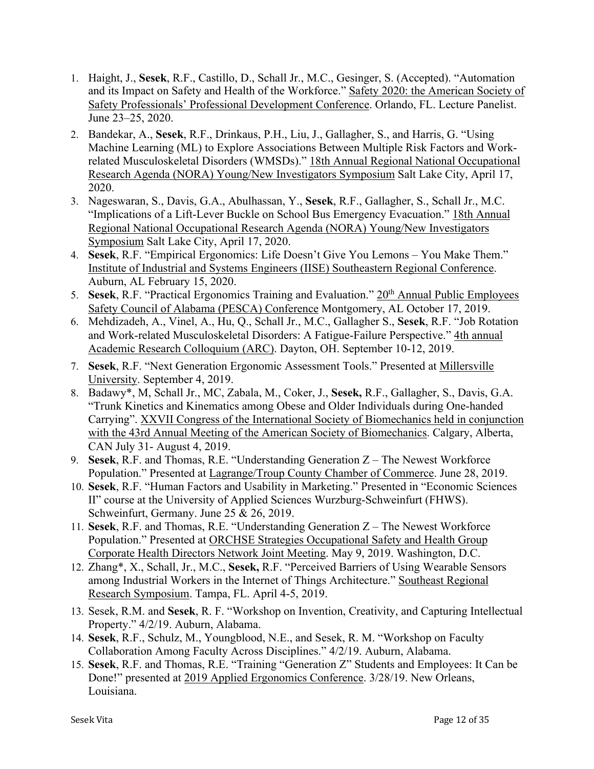- 1. Haight, J., **Sesek**, R.F., Castillo, D., Schall Jr., M.C., Gesinger, S. (Accepted). "Automation and its Impact on Safety and Health of the Workforce." Safety 2020: the American Society of Safety Professionals' Professional Development Conference. Orlando, FL. Lecture Panelist. June 23–25, 2020.
- 2. Bandekar, A., **Sesek**, R.F., Drinkaus, P.H., Liu, J., Gallagher, S., and Harris, G. "Using Machine Learning (ML) to Explore Associations Between Multiple Risk Factors and Workrelated Musculoskeletal Disorders (WMSDs)." 18th Annual Regional National Occupational Research Agenda (NORA) Young/New Investigators Symposium Salt Lake City, April 17, 2020.
- 3. Nageswaran, S., Davis, G.A., Abulhassan, Y., **Sesek**, R.F., Gallagher, S., Schall Jr., M.C. "Implications of a Lift-Lever Buckle on School Bus Emergency Evacuation." 18th Annual Regional National Occupational Research Agenda (NORA) Young/New Investigators Symposium Salt Lake City, April 17, 2020.
- 4. **Sesek**, R.F. "Empirical Ergonomics: Life Doesn't Give You Lemons You Make Them." Institute of Industrial and Systems Engineers (IISE) Southeastern Regional Conference. Auburn, AL February 15, 2020.
- 5. **Sesek**, R.F. "Practical Ergonomics Training and Evaluation." 20th Annual Public Employees Safety Council of Alabama (PESCA) Conference Montgomery, AL October 17, 2019.
- 6. Mehdizadeh, A., Vinel, A., Hu, Q., Schall Jr., M.C., Gallagher S., **Sesek**, R.F. "Job Rotation and Work-related Musculoskeletal Disorders: A Fatigue-Failure Perspective." 4th annual Academic Research Colloquium (ARC). Dayton, OH. September 10-12, 2019.
- 7. **Sesek**, R.F. "Next Generation Ergonomic Assessment Tools." Presented at Millersville University. September 4, 2019.
- 8. Badawy\*, M, Schall Jr., MC, Zabala, M., Coker, J., **Sesek,** R.F., Gallagher, S., Davis, G.A. "Trunk Kinetics and Kinematics among Obese and Older Individuals during One-handed Carrying". XXVII Congress of the International Society of Biomechanics held in conjunction with the 43rd Annual Meeting of the American Society of Biomechanics. Calgary, Alberta, CAN July 31- August 4, 2019.
- 9. **Sesek**, R.F. and Thomas, R.E. "Understanding Generation Z The Newest Workforce Population." Presented at Lagrange/Troup County Chamber of Commerce. June 28, 2019.
- 10. **Sesek**, R.F. "Human Factors and Usability in Marketing." Presented in "Economic Sciences II" course at the University of Applied Sciences Wurzburg-Schweinfurt (FHWS). Schweinfurt, Germany. June 25 & 26, 2019.
- 11. **Sesek**, R.F. and Thomas, R.E. "Understanding Generation Z The Newest Workforce Population." Presented at ORCHSE Strategies Occupational Safety and Health Group Corporate Health Directors Network Joint Meeting. May 9, 2019. Washington, D.C.
- 12. Zhang\*, X., Schall, Jr., M.C., **Sesek,** R.F. "Perceived Barriers of Using Wearable Sensors among Industrial Workers in the Internet of Things Architecture." Southeast Regional Research Symposium. Tampa, FL. April 4-5, 2019.
- 13. Sesek, R.M. and **Sesek**, R. F. "Workshop on Invention, Creativity, and Capturing Intellectual Property." 4/2/19. Auburn, Alabama.
- 14. **Sesek**, R.F., Schulz, M., Youngblood, N.E., and Sesek, R. M. "Workshop on Faculty Collaboration Among Faculty Across Disciplines." 4/2/19. Auburn, Alabama.
- 15. **Sesek**, R.F. and Thomas, R.E. "Training "Generation Z" Students and Employees: It Can be Done!" presented at 2019 Applied Ergonomics Conference. 3/28/19. New Orleans, Louisiana.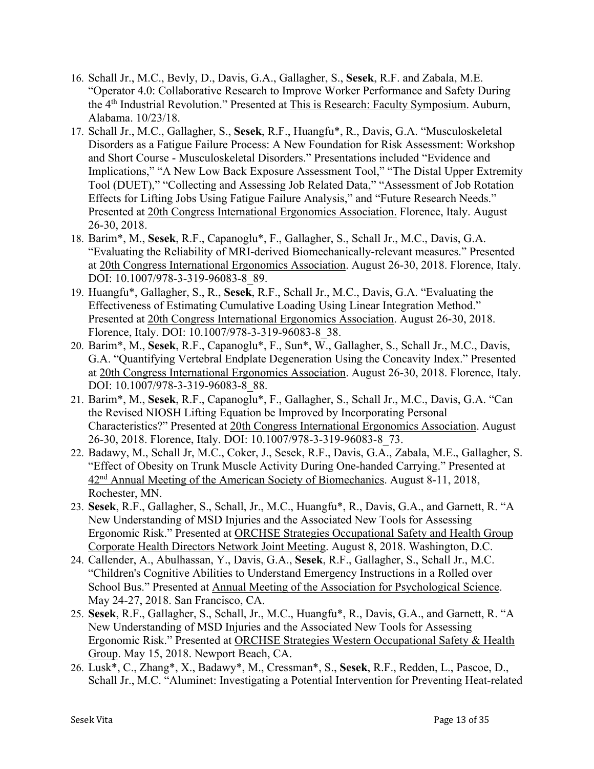- 16. Schall Jr., M.C., Bevly, D., Davis, G.A., Gallagher, S., **Sesek**, R.F. and Zabala, M.E. "Operator 4.0: Collaborative Research to Improve Worker Performance and Safety During the 4th Industrial Revolution." Presented at This is Research: Faculty Symposium. Auburn, Alabama. 10/23/18.
- 17. Schall Jr., M.C., Gallagher, S., **Sesek**, R.F., Huangfu\*, R., Davis, G.A. "Musculoskeletal Disorders as a Fatigue Failure Process: A New Foundation for Risk Assessment: Workshop and Short Course - Musculoskeletal Disorders." Presentations included "Evidence and Implications," "A New Low Back Exposure Assessment Tool," "The Distal Upper Extremity Tool (DUET)," "Collecting and Assessing Job Related Data," "Assessment of Job Rotation Effects for Lifting Jobs Using Fatigue Failure Analysis," and "Future Research Needs." Presented at 20th Congress International Ergonomics Association. Florence, Italy. August 26-30, 2018.
- 18. Barim\*, M., **Sesek**, R.F., Capanoglu\*, F., Gallagher, S., Schall Jr., M.C., Davis, G.A. "Evaluating the Reliability of MRI-derived Biomechanically-relevant measures." Presented at 20th Congress International Ergonomics Association. August 26-30, 2018. Florence, Italy. DOI: 10.1007/978-3-319-96083-8\_89.
- 19. Huangfu\*, Gallagher, S., R., **Sesek**, R.F., Schall Jr., M.C., Davis, G.A. "Evaluating the Effectiveness of Estimating Cumulative Loading Using Linear Integration Method." Presented at 20th Congress International Ergonomics Association. August 26-30, 2018. Florence, Italy. DOI: 10.1007/978-3-319-96083-8\_38.
- 20. Barim\*, M., **Sesek**, R.F., Capanoglu\*, F., Sun\*, W., Gallagher, S., Schall Jr., M.C., Davis, G.A. "Quantifying Vertebral Endplate Degeneration Using the Concavity Index." Presented at 20th Congress International Ergonomics Association. August 26-30, 2018. Florence, Italy. DOI: 10.1007/978-3-319-96083-8\_88.
- 21. Barim\*, M., **Sesek**, R.F., Capanoglu\*, F., Gallagher, S., Schall Jr., M.C., Davis, G.A. "Can the Revised NIOSH Lifting Equation be Improved by Incorporating Personal Characteristics?" Presented at 20th Congress International Ergonomics Association. August 26-30, 2018. Florence, Italy. DOI: 10.1007/978-3-319-96083-8\_73.
- 22. Badawy, M., Schall Jr, M.C., Coker, J., Sesek, R.F., Davis, G.A., Zabala, M.E., Gallagher, S. "Effect of Obesity on Trunk Muscle Activity During One-handed Carrying." Presented at 42nd Annual Meeting of the American Society of Biomechanics. August 8-11, 2018, Rochester, MN.
- 23. **Sesek**, R.F., Gallagher, S., Schall, Jr., M.C., Huangfu\*, R., Davis, G.A., and Garnett, R. "A New Understanding of MSD Injuries and the Associated New Tools for Assessing Ergonomic Risk." Presented at ORCHSE Strategies Occupational Safety and Health Group Corporate Health Directors Network Joint Meeting. August 8, 2018. Washington, D.C.
- 24. Callender, A., Abulhassan, Y., Davis, G.A., **Sesek**, R.F., Gallagher, S., Schall Jr., M.C. "Children's Cognitive Abilities to Understand Emergency Instructions in a Rolled over School Bus." Presented at Annual Meeting of the Association for Psychological Science. May 24-27, 2018. San Francisco, CA.
- 25. **Sesek**, R.F., Gallagher, S., Schall, Jr., M.C., Huangfu\*, R., Davis, G.A., and Garnett, R. "A New Understanding of MSD Injuries and the Associated New Tools for Assessing Ergonomic Risk." Presented at ORCHSE Strategies Western Occupational Safety & Health Group. May 15, 2018. Newport Beach, CA.
- 26. Lusk\*, C., Zhang\*, X., Badawy\*, M., Cressman\*, S., **Sesek**, R.F., Redden, L., Pascoe, D., Schall Jr., M.C. "Aluminet: Investigating a Potential Intervention for Preventing Heat-related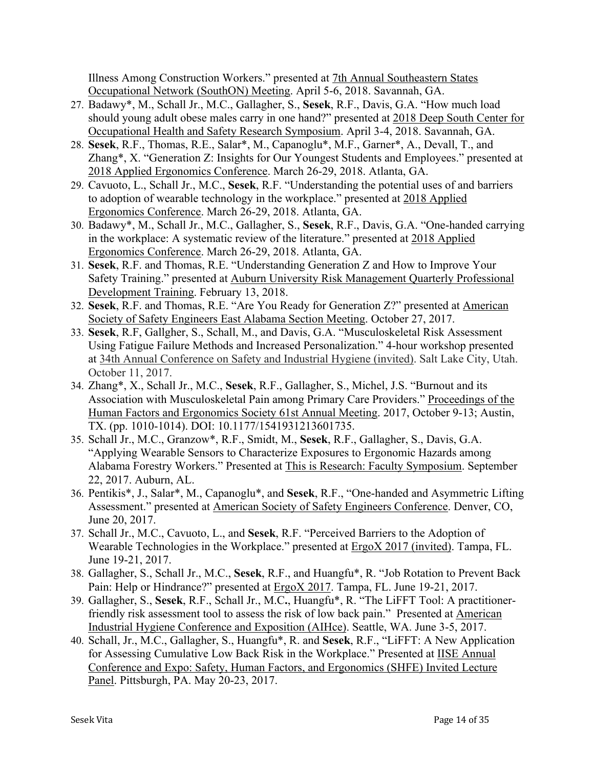Illness Among Construction Workers." presented at 7th Annual Southeastern States Occupational Network (SouthON) Meeting. April 5-6, 2018. Savannah, GA.

- 27. Badawy\*, M., Schall Jr., M.C., Gallagher, S., **Sesek**, R.F., Davis, G.A. "How much load should young adult obese males carry in one hand?" presented at 2018 Deep South Center for Occupational Health and Safety Research Symposium. April 3-4, 2018. Savannah, GA.
- 28. **Sesek**, R.F., Thomas, R.E., Salar\*, M., Capanoglu\*, M.F., Garner\*, A., Devall, T., and Zhang\*, X. "Generation Z: Insights for Our Youngest Students and Employees." presented at 2018 Applied Ergonomics Conference. March 26-29, 2018. Atlanta, GA.
- 29. Cavuoto, L., Schall Jr., M.C., **Sesek**, R.F. "Understanding the potential uses of and barriers to adoption of wearable technology in the workplace." presented at 2018 Applied Ergonomics Conference. March 26-29, 2018. Atlanta, GA.
- 30. Badawy\*, M., Schall Jr., M.C., Gallagher, S., **Sesek**, R.F., Davis, G.A. "One-handed carrying in the workplace: A systematic review of the literature." presented at 2018 Applied Ergonomics Conference. March 26-29, 2018. Atlanta, GA.
- 31. **Sesek**, R.F. and Thomas, R.E. "Understanding Generation Z and How to Improve Your Safety Training." presented at Auburn University Risk Management Quarterly Professional Development Training. February 13, 2018.
- 32. **Sesek**, R.F. and Thomas, R.E. "Are You Ready for Generation Z?" presented at American Society of Safety Engineers East Alabama Section Meeting. October 27, 2017.
- 33. **Sesek**, R.F, Gallgher, S., Schall, M., and Davis, G.A. "Musculoskeletal Risk Assessment Using Fatigue Failure Methods and Increased Personalization." 4-hour workshop presented at 34th Annual Conference on Safety and Industrial Hygiene (invited). Salt Lake City, Utah. October 11, 2017.
- 34. Zhang\*, X., Schall Jr., M.C., **Sesek**, R.F., Gallagher, S., Michel, J.S. "Burnout and its Association with Musculoskeletal Pain among Primary Care Providers." Proceedings of the Human Factors and Ergonomics Society 61st Annual Meeting. 2017, October 9-13; Austin, TX. (pp. 1010-1014). DOI: 10.1177/1541931213601735.
- 35. Schall Jr., M.C., Granzow\*, R.F., Smidt, M., **Sesek**, R.F., Gallagher, S., Davis, G.A. "Applying Wearable Sensors to Characterize Exposures to Ergonomic Hazards among Alabama Forestry Workers." Presented at This is Research: Faculty Symposium. September 22, 2017. Auburn, AL.
- 36. Pentikis\*, J., Salar\*, M., Capanoglu\*, and **Sesek**, R.F., "One-handed and Asymmetric Lifting Assessment." presented at American Society of Safety Engineers Conference. Denver, CO, June 20, 2017.
- 37. Schall Jr., M.C., Cavuoto, L., and **Sesek**, R.F. "Perceived Barriers to the Adoption of Wearable Technologies in the Workplace." presented at **ErgoX 2017** (invited). Tampa, FL. June 19-21, 2017.
- 38. Gallagher, S., Schall Jr., M.C., **Sesek**, R.F., and Huangfu\*, R. "Job Rotation to Prevent Back Pain: Help or Hindrance?" presented at **ErgoX 2017**. Tampa, FL. June 19-21, 2017.
- 39. Gallagher, S., **Sesek**, R.F., Schall Jr., M.C**.**, Huangfu\*, R. "The LiFFT Tool: A practitionerfriendly risk assessment tool to assess the risk of low back pain." Presented at American Industrial Hygiene Conference and Exposition (AIHce). Seattle, WA. June 3-5, 2017.
- 40. Schall, Jr., M.C., Gallagher, S., Huangfu\*, R. and **Sesek**, R.F., "LiFFT: A New Application for Assessing Cumulative Low Back Risk in the Workplace." Presented at IISE Annual Conference and Expo: Safety, Human Factors, and Ergonomics (SHFE) Invited Lecture Panel. Pittsburgh, PA. May 20-23, 2017.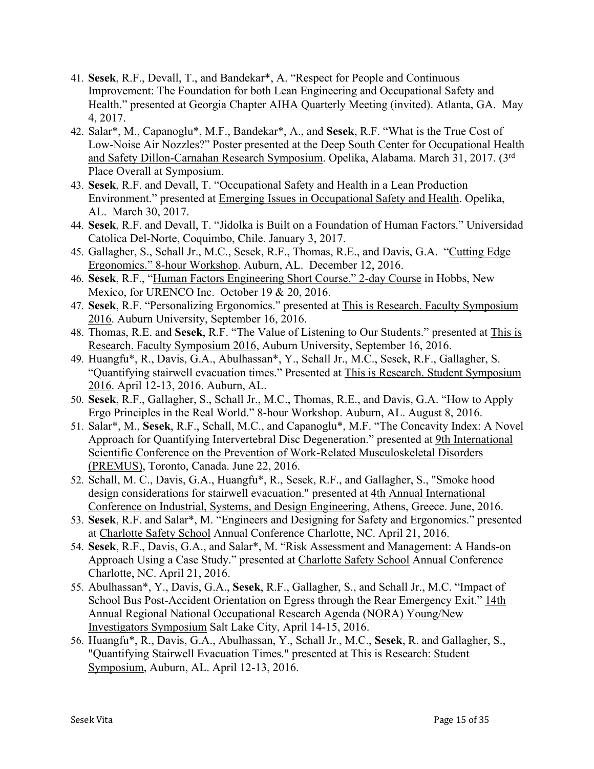- 41. **Sesek**, R.F., Devall, T., and Bandekar\*, A. "Respect for People and Continuous Improvement: The Foundation for both Lean Engineering and Occupational Safety and Health." presented at Georgia Chapter AIHA Quarterly Meeting (invited). Atlanta, GA. May 4, 2017.
- 42. Salar\*, M., Capanoglu\*, M.F., Bandekar\*, A., and **Sesek**, R.F. "What is the True Cost of Low-Noise Air Nozzles?" Poster presented at the Deep South Center for Occupational Health and Safety Dillon-Carnahan Research Symposium. Opelika, Alabama. March 31, 2017. (3rd Place Overall at Symposium.
- 43. **Sesek**, R.F. and Devall, T. "Occupational Safety and Health in a Lean Production Environment." presented at Emerging Issues in Occupational Safety and Health. Opelika, AL. March 30, 2017.
- 44. **Sesek**, R.F. and Devall, T. "Jidolka is Built on a Foundation of Human Factors." Universidad Catolica Del-Norte, Coquimbo, Chile. January 3, 2017.
- 45. Gallagher, S., Schall Jr., M.C., Sesek, R.F., Thomas, R.E., and Davis, G.A. "Cutting Edge Ergonomics." 8-hour Workshop. Auburn, AL. December 12, 2016.
- 46. **Sesek**, R.F., "Human Factors Engineering Short Course." 2-day Course in Hobbs, New Mexico, for URENCO Inc. October 19 & 20, 2016.
- 47. **Sesek**, R.F. "Personalizing Ergonomics." presented at This is Research. Faculty Symposium 2016. Auburn University, September 16, 2016.
- 48. Thomas, R.E. and **Sesek**, R.F. "The Value of Listening to Our Students." presented at This is Research. Faculty Symposium 2016, Auburn University, September 16, 2016.
- 49. Huangfu\*, R., Davis, G.A., Abulhassan\*, Y., Schall Jr., M.C., Sesek, R.F., Gallagher, S. "Quantifying stairwell evacuation times." Presented at This is Research. Student Symposium 2016. April 12-13, 2016. Auburn, AL.
- 50. **Sesek**, R.F., Gallagher, S., Schall Jr., M.C., Thomas, R.E., and Davis, G.A. "How to Apply Ergo Principles in the Real World." 8-hour Workshop. Auburn, AL. August 8, 2016.
- 51. Salar\*, M., **Sesek**, R.F., Schall, M.C., and Capanoglu\*, M.F. "The Concavity Index: A Novel Approach for Quantifying Intervertebral Disc Degeneration." presented at 9th International Scientific Conference on the Prevention of Work-Related Musculoskeletal Disorders (PREMUS), Toronto, Canada. June 22, 2016.
- 52. Schall, M. C., Davis, G.A., Huangfu\*, R., Sesek, R.F., and Gallagher, S., "Smoke hood design considerations for stairwell evacuation." presented at 4th Annual International Conference on Industrial, Systems, and Design Engineering, Athens, Greece. June, 2016.
- 53. **Sesek**, R.F. and Salar\*, M. "Engineers and Designing for Safety and Ergonomics." presented at Charlotte Safety School Annual Conference Charlotte, NC. April 21, 2016.
- 54. **Sesek**, R.F., Davis, G.A., and Salar\*, M. "Risk Assessment and Management: A Hands-on Approach Using a Case Study." presented at Charlotte Safety School Annual Conference Charlotte, NC. April 21, 2016.
- 55. Abulhassan\*, Y., Davis, G.A., **Sesek**, R.F., Gallagher, S., and Schall Jr., M.C. "Impact of School Bus Post-Accident Orientation on Egress through the Rear Emergency Exit." 14th Annual Regional National Occupational Research Agenda (NORA) Young/New Investigators Symposium Salt Lake City, April 14-15, 2016.
- 56. Huangfu\*, R., Davis, G.A., Abulhassan, Y., Schall Jr., M.C., **Sesek**, R. and Gallagher, S., "Quantifying Stairwell Evacuation Times." presented at This is Research: Student Symposium, Auburn, AL. April 12-13, 2016.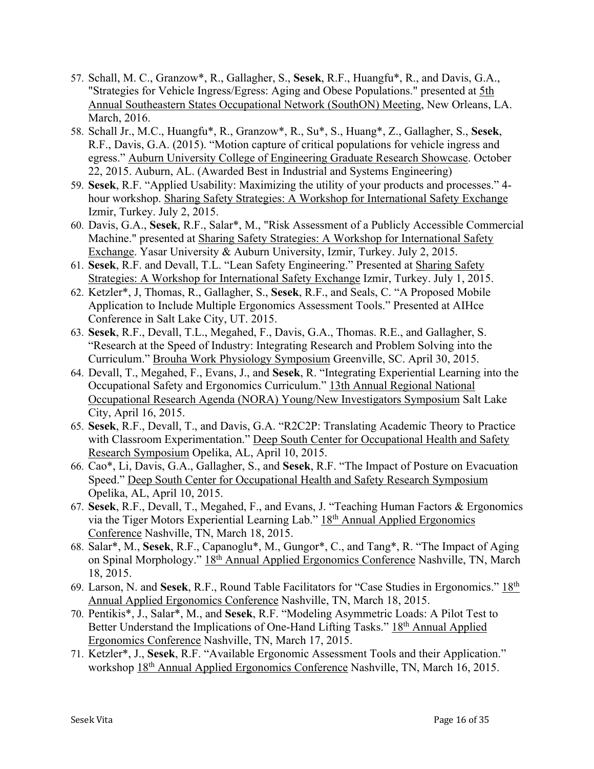- 57. Schall, M. C., Granzow\*, R., Gallagher, S., **Sesek**, R.F., Huangfu\*, R., and Davis, G.A., "Strategies for Vehicle Ingress/Egress: Aging and Obese Populations." presented at 5th Annual Southeastern States Occupational Network (SouthON) Meeting, New Orleans, LA. March, 2016.
- 58. Schall Jr., M.C., Huangfu\*, R., Granzow\*, R., Su\*, S., Huang\*, Z., Gallagher, S., **Sesek**, R.F., Davis, G.A. (2015). "Motion capture of critical populations for vehicle ingress and egress." Auburn University College of Engineering Graduate Research Showcase. October 22, 2015. Auburn, AL. (Awarded Best in Industrial and Systems Engineering)
- 59. **Sesek**, R.F. "Applied Usability: Maximizing the utility of your products and processes." 4 hour workshop. Sharing Safety Strategies: A Workshop for International Safety Exchange Izmir, Turkey. July 2, 2015.
- 60. Davis, G.A., **Sesek**, R.F., Salar\*, M., "Risk Assessment of a Publicly Accessible Commercial Machine." presented at Sharing Safety Strategies: A Workshop for International Safety Exchange. Yasar University & Auburn University, Izmir, Turkey. July 2, 2015.
- 61. **Sesek**, R.F. and Devall, T.L. "Lean Safety Engineering." Presented at Sharing Safety Strategies: A Workshop for International Safety Exchange Izmir, Turkey. July 1, 2015.
- 62. Ketzler\*, J, Thomas, R., Gallagher, S., **Sesek**, R.F., and Seals, C. "A Proposed Mobile Application to Include Multiple Ergonomics Assessment Tools." Presented at AIHce Conference in Salt Lake City, UT. 2015.
- 63. **Sesek**, R.F., Devall, T.L., Megahed, F., Davis, G.A., Thomas. R.E., and Gallagher, S. "Research at the Speed of Industry: Integrating Research and Problem Solving into the Curriculum." Brouha Work Physiology Symposium Greenville, SC. April 30, 2015.
- 64. Devall, T., Megahed, F., Evans, J., and **Sesek**, R. "Integrating Experiential Learning into the Occupational Safety and Ergonomics Curriculum." 13th Annual Regional National Occupational Research Agenda (NORA) Young/New Investigators Symposium Salt Lake City, April 16, 2015.
- 65. **Sesek**, R.F., Devall, T., and Davis, G.A. "R2C2P: Translating Academic Theory to Practice with Classroom Experimentation." Deep South Center for Occupational Health and Safety Research Symposium Opelika, AL, April 10, 2015.
- 66. Cao\*, Li, Davis, G.A., Gallagher, S., and **Sesek**, R.F. "The Impact of Posture on Evacuation Speed." Deep South Center for Occupational Health and Safety Research Symposium Opelika, AL, April 10, 2015.
- 67. **Sesek**, R.F., Devall, T., Megahed, F., and Evans, J. "Teaching Human Factors & Ergonomics via the Tiger Motors Experiential Learning Lab." 18th Annual Applied Ergonomics Conference Nashville, TN, March 18, 2015.
- 68. Salar\*, M., **Sesek**, R.F., Capanoglu\*, M., Gungor\*, C., and Tang\*, R. "The Impact of Aging on Spinal Morphology." 18<sup>th</sup> Annual Applied Ergonomics Conference Nashville, TN, March 18, 2015.
- 69. Larson, N. and **Sesek**, R.F., Round Table Facilitators for "Case Studies in Ergonomics." 18th Annual Applied Ergonomics Conference Nashville, TN, March 18, 2015.
- 70. Pentikis\*, J., Salar\*, M., and **Sesek**, R.F. "Modeling Asymmetric Loads: A Pilot Test to Better Understand the Implications of One-Hand Lifting Tasks." 18th Annual Applied Ergonomics Conference Nashville, TN, March 17, 2015.
- 71. Ketzler\*, J., **Sesek**, R.F. "Available Ergonomic Assessment Tools and their Application." workshop 18<sup>th</sup> Annual Applied Ergonomics Conference Nashville, TN, March 16, 2015.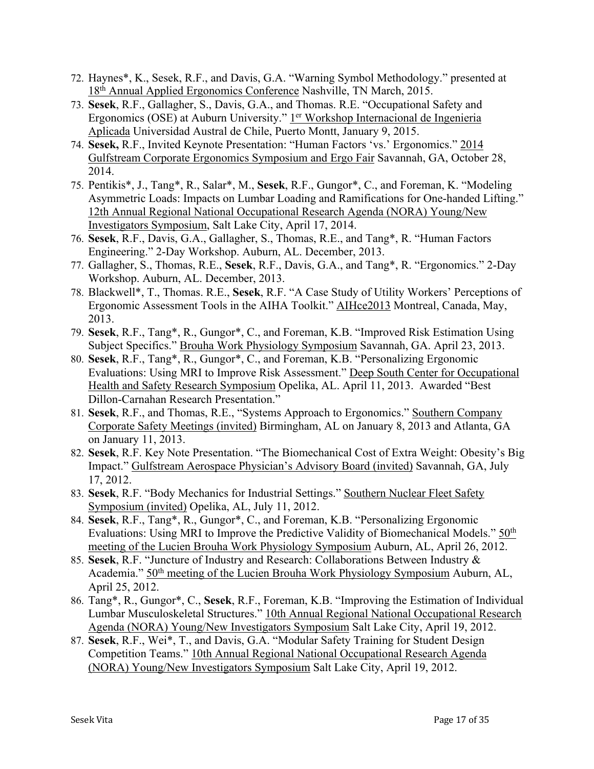- 72. Haynes\*, K., Sesek, R.F., and Davis, G.A. "Warning Symbol Methodology." presented at 18<sup>th</sup> Annual Applied Ergonomics Conference Nashville, TN March, 2015.
- 73. **Sesek**, R.F., Gallagher, S., Davis, G.A., and Thomas. R.E. "Occupational Safety and Ergonomics (OSE) at Auburn University." 1<sup>er</sup> Workshop Internacional de Ingenieria Aplicada Universidad Austral de Chile, Puerto Montt, January 9, 2015.
- 74. **Sesek,** R.F., Invited Keynote Presentation: "Human Factors 'vs.' Ergonomics." 2014 Gulfstream Corporate Ergonomics Symposium and Ergo Fair Savannah, GA, October 28, 2014.
- 75. Pentikis\*, J., Tang\*, R., Salar\*, M., **Sesek**, R.F., Gungor\*, C., and Foreman, K. "Modeling Asymmetric Loads: Impacts on Lumbar Loading and Ramifications for One-handed Lifting." 12th Annual Regional National Occupational Research Agenda (NORA) Young/New Investigators Symposium, Salt Lake City, April 17, 2014.
- 76. **Sesek**, R.F., Davis, G.A., Gallagher, S., Thomas, R.E., and Tang\*, R. "Human Factors Engineering." 2-Day Workshop. Auburn, AL. December, 2013.
- 77. Gallagher, S., Thomas, R.E., **Sesek**, R.F., Davis, G.A., and Tang\*, R. "Ergonomics." 2-Day Workshop. Auburn, AL. December, 2013.
- 78. Blackwell\*, T., Thomas. R.E., **Sesek**, R.F. "A Case Study of Utility Workers' Perceptions of Ergonomic Assessment Tools in the AIHA Toolkit." AIHce2013 Montreal, Canada, May, 2013.
- 79. **Sesek**, R.F., Tang\*, R., Gungor\*, C., and Foreman, K.B. "Improved Risk Estimation Using Subject Specifics." Brouha Work Physiology Symposium Savannah, GA. April 23, 2013.
- 80. **Sesek**, R.F., Tang\*, R., Gungor\*, C., and Foreman, K.B. "Personalizing Ergonomic Evaluations: Using MRI to Improve Risk Assessment." Deep South Center for Occupational Health and Safety Research Symposium Opelika, AL. April 11, 2013. Awarded "Best Dillon-Carnahan Research Presentation."
- 81. **Sesek**, R.F., and Thomas, R.E., "Systems Approach to Ergonomics." Southern Company Corporate Safety Meetings (invited) Birmingham, AL on January 8, 2013 and Atlanta, GA on January 11, 2013.
- 82. **Sesek**, R.F. Key Note Presentation. "The Biomechanical Cost of Extra Weight: Obesity's Big Impact." Gulfstream Aerospace Physician's Advisory Board (invited) Savannah, GA, July 17, 2012.
- 83. **Sesek**, R.F. "Body Mechanics for Industrial Settings." Southern Nuclear Fleet Safety Symposium (invited) Opelika, AL, July 11, 2012.
- 84. **Sesek**, R.F., Tang\*, R., Gungor\*, C., and Foreman, K.B. "Personalizing Ergonomic Evaluations: Using MRI to Improve the Predictive Validity of Biomechanical Models." 50<sup>th</sup> meeting of the Lucien Brouha Work Physiology Symposium Auburn, AL, April 26, 2012.
- 85. **Sesek**, R.F. "Juncture of Industry and Research: Collaborations Between Industry & Academia." 50th meeting of the Lucien Brouha Work Physiology Symposium Auburn, AL, April 25, 2012.
- 86. Tang\*, R., Gungor\*, C., **Sesek**, R.F., Foreman, K.B. "Improving the Estimation of Individual Lumbar Musculoskeletal Structures." 10th Annual Regional National Occupational Research Agenda (NORA) Young/New Investigators Symposium Salt Lake City, April 19, 2012.
- 87. **Sesek**, R.F., Wei\*, T., and Davis, G.A. "Modular Safety Training for Student Design Competition Teams." 10th Annual Regional National Occupational Research Agenda (NORA) Young/New Investigators Symposium Salt Lake City, April 19, 2012.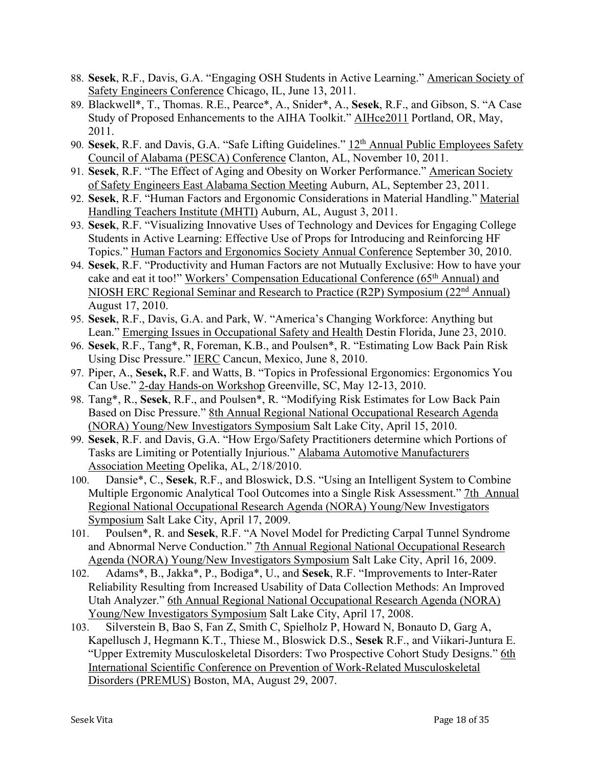- 88. **Sesek**, R.F., Davis, G.A. "Engaging OSH Students in Active Learning." American Society of Safety Engineers Conference Chicago, IL, June 13, 2011.
- 89. Blackwell\*, T., Thomas. R.E., Pearce\*, A., Snider\*, A., **Sesek**, R.F., and Gibson, S. "A Case Study of Proposed Enhancements to the AIHA Toolkit." AIHce2011 Portland, OR, May, 2011.
- 90. **Sesek**, R.F. and Davis, G.A. "Safe Lifting Guidelines." 12th Annual Public Employees Safety Council of Alabama (PESCA) Conference Clanton, AL, November 10, 2011.
- 91. **Sesek**, R.F. "The Effect of Aging and Obesity on Worker Performance." American Society of Safety Engineers East Alabama Section Meeting Auburn, AL, September 23, 2011.
- 92. **Sesek**, R.F. "Human Factors and Ergonomic Considerations in Material Handling." Material Handling Teachers Institute (MHTI) Auburn, AL, August 3, 2011.
- 93. **Sesek**, R.F. "Visualizing Innovative Uses of Technology and Devices for Engaging College Students in Active Learning: Effective Use of Props for Introducing and Reinforcing HF Topics." Human Factors and Ergonomics Society Annual Conference September 30, 2010.
- 94. **Sesek**, R.F. "Productivity and Human Factors are not Mutually Exclusive: How to have your cake and eat it too!" Workers' Compensation Educational Conference (65<sup>th</sup> Annual) and NIOSH ERC Regional Seminar and Research to Practice (R2P) Symposium (22nd Annual) August 17, 2010.
- 95. **Sesek**, R.F., Davis, G.A. and Park, W. "America's Changing Workforce: Anything but Lean." Emerging Issues in Occupational Safety and Health Destin Florida, June 23, 2010.
- 96. **Sesek**, R.F., Tang\*, R, Foreman, K.B., and Poulsen\*, R. "Estimating Low Back Pain Risk Using Disc Pressure." IERC Cancun, Mexico, June 8, 2010.
- 97. Piper, A., **Sesek,** R.F. and Watts, B. "Topics in Professional Ergonomics: Ergonomics You Can Use." 2-day Hands-on Workshop Greenville, SC, May 12-13, 2010.
- 98. Tang\*, R., **Sesek**, R.F., and Poulsen\*, R. "Modifying Risk Estimates for Low Back Pain Based on Disc Pressure." 8th Annual Regional National Occupational Research Agenda (NORA) Young/New Investigators Symposium Salt Lake City, April 15, 2010.
- 99. **Sesek**, R.F. and Davis, G.A. "How Ergo/Safety Practitioners determine which Portions of Tasks are Limiting or Potentially Injurious." Alabama Automotive Manufacturers Association Meeting Opelika, AL, 2/18/2010.
- 100. Dansie\*, C., **Sesek**, R.F., and Bloswick, D.S. "Using an Intelligent System to Combine Multiple Ergonomic Analytical Tool Outcomes into a Single Risk Assessment." 7th Annual Regional National Occupational Research Agenda (NORA) Young/New Investigators Symposium Salt Lake City, April 17, 2009.
- 101. Poulsen\*, R. and **Sesek**, R.F. "A Novel Model for Predicting Carpal Tunnel Syndrome and Abnormal Nerve Conduction." 7th Annual Regional National Occupational Research Agenda (NORA) Young/New Investigators Symposium Salt Lake City, April 16, 2009.
- 102. Adams\*, B., Jakka\*, P., Bodiga\*, U., and **Sesek**, R.F. "Improvements to Inter-Rater Reliability Resulting from Increased Usability of Data Collection Methods: An Improved Utah Analyzer." 6th Annual Regional National Occupational Research Agenda (NORA) Young/New Investigators Symposium Salt Lake City, April 17, 2008.
- 103. Silverstein B, Bao S, Fan Z, Smith C, Spielholz P, Howard N, Bonauto D, Garg A, Kapellusch J, Hegmann K.T., Thiese M., Bloswick D.S., **Sesek** R.F., and Viikari-Juntura E. "Upper Extremity Musculoskeletal Disorders: Two Prospective Cohort Study Designs." 6th International Scientific Conference on Prevention of Work-Related Musculoskeletal Disorders (PREMUS) Boston, MA, August 29, 2007.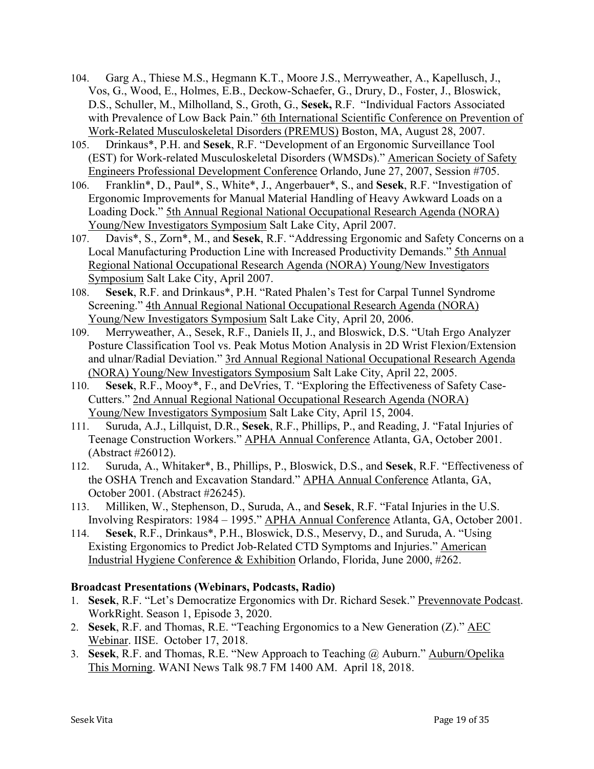- 104. Garg A., Thiese M.S., Hegmann K.T., Moore J.S., Merryweather, A., Kapellusch, J., Vos, G., Wood, E., Holmes, E.B., Deckow-Schaefer, G., Drury, D., Foster, J., Bloswick, D.S., Schuller, M., Milholland, S., Groth, G., **Sesek,** R.F. "Individual Factors Associated with Prevalence of Low Back Pain." 6th International Scientific Conference on Prevention of Work-Related Musculoskeletal Disorders (PREMUS) Boston, MA, August 28, 2007.
- 105. Drinkaus\*, P.H. and **Sesek**, R.F. "Development of an Ergonomic Surveillance Tool (EST) for Work-related Musculoskeletal Disorders (WMSDs)." American Society of Safety Engineers Professional Development Conference Orlando, June 27, 2007, Session #705.
- 106. Franklin\*, D., Paul\*, S., White\*, J., Angerbauer\*, S., and **Sesek**, R.F. "Investigation of Ergonomic Improvements for Manual Material Handling of Heavy Awkward Loads on a Loading Dock." 5th Annual Regional National Occupational Research Agenda (NORA) Young/New Investigators Symposium Salt Lake City, April 2007.
- 107. Davis\*, S., Zorn\*, M., and **Sesek**, R.F. "Addressing Ergonomic and Safety Concerns on a Local Manufacturing Production Line with Increased Productivity Demands." 5th Annual Regional National Occupational Research Agenda (NORA) Young/New Investigators Symposium Salt Lake City, April 2007.
- 108. **Sesek**, R.F. and Drinkaus\*, P.H. "Rated Phalen's Test for Carpal Tunnel Syndrome Screening." 4th Annual Regional National Occupational Research Agenda (NORA) Young/New Investigators Symposium Salt Lake City, April 20, 2006.
- 109. Merryweather, A., Sesek, R.F., Daniels II, J., and Bloswick, D.S. "Utah Ergo Analyzer Posture Classification Tool vs. Peak Motus Motion Analysis in 2D Wrist Flexion/Extension and ulnar/Radial Deviation." 3rd Annual Regional National Occupational Research Agenda (NORA) Young/New Investigators Symposium Salt Lake City, April 22, 2005.
- 110. **Sesek**, R.F., Mooy\*, F., and DeVries, T. "Exploring the Effectiveness of Safety Case-Cutters." 2nd Annual Regional National Occupational Research Agenda (NORA) Young/New Investigators Symposium Salt Lake City, April 15, 2004.
- 111. Suruda, A.J., Lillquist, D.R., **Sesek**, R.F., Phillips, P., and Reading, J. "Fatal Injuries of Teenage Construction Workers." APHA Annual Conference Atlanta, GA, October 2001. (Abstract #26012).
- 112. Suruda, A., Whitaker\*, B., Phillips, P., Bloswick, D.S., and **Sesek**, R.F. "Effectiveness of the OSHA Trench and Excavation Standard." APHA Annual Conference Atlanta, GA, October 2001. (Abstract #26245).
- 113. Milliken, W., Stephenson, D., Suruda, A., and **Sesek**, R.F. "Fatal Injuries in the U.S. Involving Respirators: 1984 – 1995." APHA Annual Conference Atlanta, GA, October 2001.
- 114. **Sesek**, R.F., Drinkaus\*, P.H., Bloswick, D.S., Meservy, D., and Suruda, A. "Using Existing Ergonomics to Predict Job-Related CTD Symptoms and Injuries." American Industrial Hygiene Conference & Exhibition Orlando, Florida, June 2000, #262.

## **Broadcast Presentations (Webinars, Podcasts, Radio)**

- 1. **Sesek**, R.F. "Let's Democratize Ergonomics with Dr. Richard Sesek." Prevennovate Podcast. WorkRight. Season 1, Episode 3, 2020.
- 2. **Sesek**, R.F. and Thomas, R.E. "Teaching Ergonomics to a New Generation (Z)." AEC Webinar. IISE. October 17, 2018.
- 3. **Sesek**, R.F. and Thomas, R.E. "New Approach to Teaching @ Auburn." Auburn/Opelika This Morning. WANI News Talk 98.7 FM 1400 AM. April 18, 2018.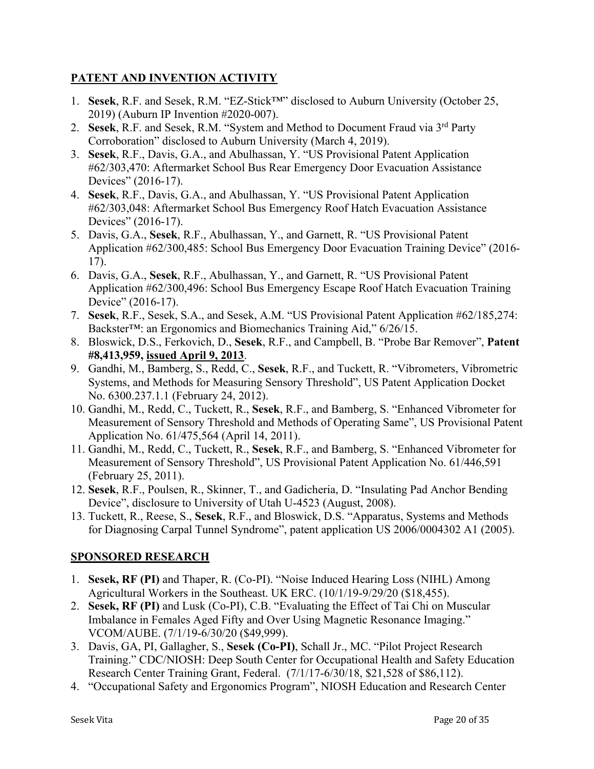# **PATENT AND INVENTION ACTIVITY**

- 1. **Sesek**, R.F. and Sesek, R.M. "EZ-Stick™" disclosed to Auburn University (October 25, 2019) (Auburn IP Invention #2020-007).
- 2. **Sesek**, R.F. and Sesek, R.M. "System and Method to Document Fraud via 3rd Party Corroboration" disclosed to Auburn University (March 4, 2019).
- 3. **Sesek**, R.F., Davis, G.A., and Abulhassan, Y. "US Provisional Patent Application #62/303,470: Aftermarket School Bus Rear Emergency Door Evacuation Assistance Devices" (2016-17).
- 4. **Sesek**, R.F., Davis, G.A., and Abulhassan, Y. "US Provisional Patent Application #62/303,048: Aftermarket School Bus Emergency Roof Hatch Evacuation Assistance Devices" (2016-17).
- 5. Davis, G.A., **Sesek**, R.F., Abulhassan, Y., and Garnett, R. "US Provisional Patent Application #62/300,485: School Bus Emergency Door Evacuation Training Device" (2016- 17).
- 6. Davis, G.A., **Sesek**, R.F., Abulhassan, Y., and Garnett, R. "US Provisional Patent Application #62/300,496: School Bus Emergency Escape Roof Hatch Evacuation Training Device" (2016-17).
- 7. **Sesek**, R.F., Sesek, S.A., and Sesek, A.M. "US Provisional Patent Application #62/185,274: Backster™: an Ergonomics and Biomechanics Training Aid," 6/26/15.
- 8. Bloswick, D.S., Ferkovich, D., **Sesek**, R.F., and Campbell, B. "Probe Bar Remover", **Patent #8,413,959, issued April 9, 2013**.
- 9. Gandhi, M., Bamberg, S., Redd, C., **Sesek**, R.F., and Tuckett, R. "Vibrometers, Vibrometric Systems, and Methods for Measuring Sensory Threshold", US Patent Application Docket No. 6300.237.1.1 (February 24, 2012).
- 10. Gandhi, M., Redd, C., Tuckett, R., **Sesek**, R.F., and Bamberg, S. "Enhanced Vibrometer for Measurement of Sensory Threshold and Methods of Operating Same", US Provisional Patent Application No. 61/475,564 (April 14, 2011).
- 11. Gandhi, M., Redd, C., Tuckett, R., **Sesek**, R.F., and Bamberg, S. "Enhanced Vibrometer for Measurement of Sensory Threshold", US Provisional Patent Application No. 61/446,591 (February 25, 2011).
- 12. **Sesek**, R.F., Poulsen, R., Skinner, T., and Gadicheria, D. "Insulating Pad Anchor Bending Device", disclosure to University of Utah U-4523 (August, 2008).
- 13. Tuckett, R., Reese, S., **Sesek**, R.F., and Bloswick, D.S. "Apparatus, Systems and Methods for Diagnosing Carpal Tunnel Syndrome", patent application US 2006/0004302 A1 (2005).

# **SPONSORED RESEARCH**

- 1. **Sesek, RF (PI)** and Thaper, R. (Co-PI). "Noise Induced Hearing Loss (NIHL) Among Agricultural Workers in the Southeast. UK ERC. (10/1/19-9/29/20 (\$18,455).
- 2. **Sesek, RF (PI)** and Lusk (Co-PI), C.B. "Evaluating the Effect of Tai Chi on Muscular Imbalance in Females Aged Fifty and Over Using Magnetic Resonance Imaging." VCOM/AUBE. (7/1/19-6/30/20 (\$49,999).
- 3. Davis, GA, PI, Gallagher, S., **Sesek (Co-PI)**, Schall Jr., MC. "Pilot Project Research Training." CDC/NIOSH: Deep South Center for Occupational Health and Safety Education Research Center Training Grant, Federal. (7/1/17-6/30/18, \$21,528 of \$86,112).
- 4. "Occupational Safety and Ergonomics Program", NIOSH Education and Research Center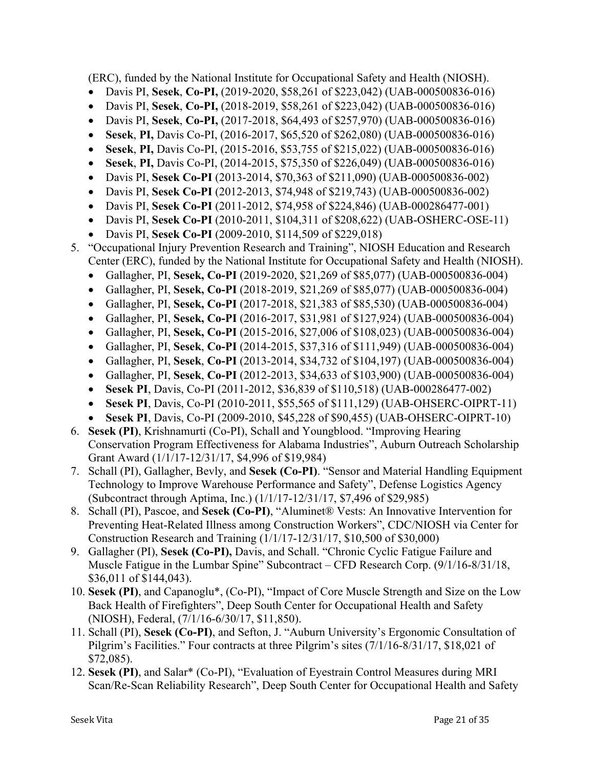(ERC), funded by the National Institute for Occupational Safety and Health (NIOSH).

- Davis PI, **Sesek**, **Co-PI,** (2019-2020, \$58,261 of \$223,042) (UAB-000500836-016)
- Davis PI, **Sesek**, **Co-PI,** (2018-2019, \$58,261 of \$223,042) (UAB-000500836-016)
- Davis PI, **Sesek**, **Co-PI,** (2017-2018, \$64,493 of \$257,970) (UAB-000500836-016)
- **Sesek**, **PI,** Davis Co-PI, (2016-2017, \$65,520 of \$262,080) (UAB-000500836-016)
- **Sesek**, **PI,** Davis Co-PI, (2015-2016, \$53,755 of \$215,022) (UAB-000500836-016)
- **Sesek**, **PI,** Davis Co-PI, (2014-2015, \$75,350 of \$226,049) (UAB-000500836-016)
- Davis PI, **Sesek Co-PI** (2013-2014, \$70,363 of \$211,090) (UAB-000500836-002)
- Davis PI, **Sesek Co-PI** (2012-2013, \$74,948 of \$219,743) (UAB-000500836-002)
- Davis PI, **Sesek Co-PI** (2011-2012, \$74,958 of \$224,846) (UAB-000286477-001)
- Davis PI, **Sesek Co-PI** (2010-2011, \$104,311 of \$208,622) (UAB-OSHERC-OSE-11)
- Davis PI, **Sesek Co-PI** (2009-2010, \$114,509 of \$229,018)
- 5. "Occupational Injury Prevention Research and Training", NIOSH Education and Research Center (ERC), funded by the National Institute for Occupational Safety and Health (NIOSH).
	- Gallagher, PI, **Sesek, Co-PI** (2019-2020, \$21,269 of \$85,077) (UAB-000500836-004)
	- Gallagher, PI, **Sesek, Co-PI** (2018-2019, \$21,269 of \$85,077) (UAB-000500836-004)
	- Gallagher, PI, **Sesek, Co-PI** (2017-2018, \$21,383 of \$85,530) (UAB-000500836-004)
	- Gallagher, PI, **Sesek, Co-PI** (2016-2017, \$31,981 of \$127,924) (UAB-000500836-004)
	- Gallagher, PI, **Sesek, Co-PI** (2015-2016, \$27,006 of \$108,023) (UAB-000500836-004)
	- Gallagher, PI, **Sesek**, **Co-PI** (2014-2015, \$37,316 of \$111,949) (UAB-000500836-004)
	- Gallagher, PI, **Sesek**, **Co-PI** (2013-2014, \$34,732 of \$104,197) (UAB-000500836-004)
	- Gallagher, PI, **Sesek**, **Co-PI** (2012-2013, \$34,633 of \$103,900) (UAB-000500836-004)
	- **Sesek PI**, Davis, Co-PI (2011-2012, \$36,839 of \$110,518) (UAB-000286477-002)
	- **Sesek PI**, Davis, Co-PI (2010-2011, \$55,565 of \$111,129) (UAB-OHSERC-OIPRT-11)
	- **Sesek PI**, Davis, Co-PI (2009-2010, \$45,228 of \$90,455) (UAB-OHSERC-OIPRT-10)
- 6. **Sesek (PI)**, Krishnamurti (Co-PI), Schall and Youngblood. "Improving Hearing Conservation Program Effectiveness for Alabama Industries", Auburn Outreach Scholarship Grant Award (1/1/17-12/31/17, \$4,996 of \$19,984)
- 7. Schall (PI), Gallagher, Bevly, and **Sesek (Co-PI)**. "Sensor and Material Handling Equipment Technology to Improve Warehouse Performance and Safety", Defense Logistics Agency (Subcontract through Aptima, Inc.) (1/1/17-12/31/17, \$7,496 of \$29,985)
- 8. Schall (PI), Pascoe, and **Sesek (Co-PI)**, "Aluminet® Vests: An Innovative Intervention for Preventing Heat-Related Illness among Construction Workers", CDC/NIOSH via Center for Construction Research and Training (1/1/17-12/31/17, \$10,500 of \$30,000)
- 9. Gallagher (PI), **Sesek (Co-PI),** Davis, and Schall. "Chronic Cyclic Fatigue Failure and Muscle Fatigue in the Lumbar Spine" Subcontract – CFD Research Corp. (9/1/16-8/31/18, \$36,011 of \$144,043).
- 10. **Sesek (PI)**, and Capanoglu\*, (Co-PI), "Impact of Core Muscle Strength and Size on the Low Back Health of Firefighters", Deep South Center for Occupational Health and Safety (NIOSH), Federal, (7/1/16-6/30/17, \$11,850).
- 11. Schall (PI), **Sesek (Co-PI)**, and Sefton, J. "Auburn University's Ergonomic Consultation of Pilgrim's Facilities." Four contracts at three Pilgrim's sites (7/1/16-8/31/17, \$18,021 of \$72,085).
- 12. **Sesek (PI)**, and Salar\* (Co-PI), "Evaluation of Eyestrain Control Measures during MRI Scan/Re-Scan Reliability Research", Deep South Center for Occupational Health and Safety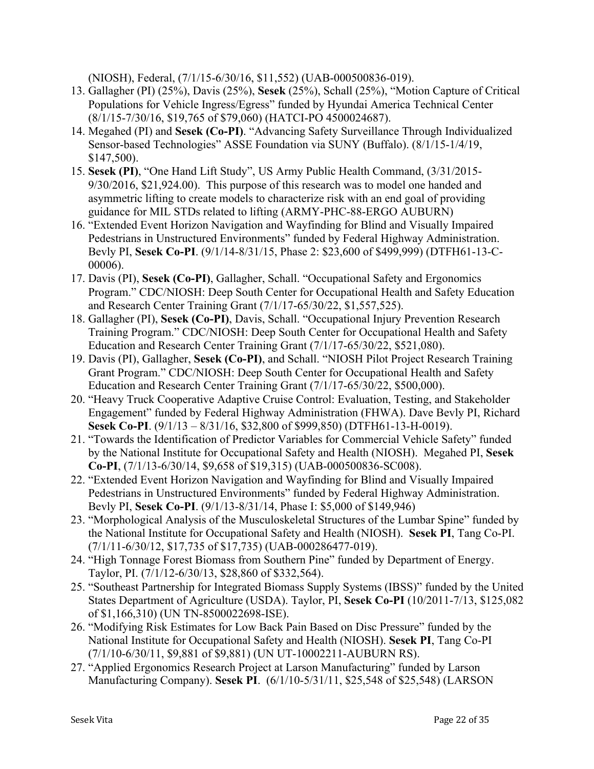(NIOSH), Federal, (7/1/15-6/30/16, \$11,552) (UAB-000500836-019).

- 13. Gallagher (PI) (25%), Davis (25%), **Sesek** (25%), Schall (25%), "Motion Capture of Critical Populations for Vehicle Ingress/Egress" funded by Hyundai America Technical Center (8/1/15-7/30/16, \$19,765 of \$79,060) (HATCI-PO 4500024687).
- 14. Megahed (PI) and **Sesek (Co-PI)**. "Advancing Safety Surveillance Through Individualized Sensor-based Technologies" ASSE Foundation via SUNY (Buffalo). (8/1/15-1/4/19, \$147,500).
- 15. **Sesek (PI)**, "One Hand Lift Study", US Army Public Health Command, (3/31/2015- 9/30/2016, \$21,924.00). This purpose of this research was to model one handed and asymmetric lifting to create models to characterize risk with an end goal of providing guidance for MIL STDs related to lifting (ARMY-PHC-88-ERGO AUBURN)
- 16. "Extended Event Horizon Navigation and Wayfinding for Blind and Visually Impaired Pedestrians in Unstructured Environments" funded by Federal Highway Administration. Bevly PI, **Sesek Co-PI**. (9/1/14-8/31/15, Phase 2: \$23,600 of \$499,999) (DTFH61-13-C-00006).
- 17. Davis (PI), **Sesek (Co-PI)**, Gallagher, Schall. "Occupational Safety and Ergonomics Program." CDC/NIOSH: Deep South Center for Occupational Health and Safety Education and Research Center Training Grant (7/1/17-65/30/22, \$1,557,525).
- 18. Gallagher (PI), **Sesek (Co-PI)**, Davis, Schall. "Occupational Injury Prevention Research Training Program." CDC/NIOSH: Deep South Center for Occupational Health and Safety Education and Research Center Training Grant (7/1/17-65/30/22, \$521,080).
- 19. Davis (PI), Gallagher, **Sesek (Co-PI)**, and Schall. "NIOSH Pilot Project Research Training Grant Program." CDC/NIOSH: Deep South Center for Occupational Health and Safety Education and Research Center Training Grant (7/1/17-65/30/22, \$500,000).
- 20. "Heavy Truck Cooperative Adaptive Cruise Control: Evaluation, Testing, and Stakeholder Engagement" funded by Federal Highway Administration (FHWA). Dave Bevly PI, Richard **Sesek Co-PI**. (9/1/13 – 8/31/16, \$32,800 of \$999,850) (DTFH61-13-H-0019).
- 21. "Towards the Identification of Predictor Variables for Commercial Vehicle Safety" funded by the National Institute for Occupational Safety and Health (NIOSH). Megahed PI, **Sesek Co-PI**, (7/1/13-6/30/14, \$9,658 of \$19,315) (UAB-000500836-SC008).
- 22. "Extended Event Horizon Navigation and Wayfinding for Blind and Visually Impaired Pedestrians in Unstructured Environments" funded by Federal Highway Administration. Bevly PI, **Sesek Co-PI**. (9/1/13-8/31/14, Phase I: \$5,000 of \$149,946)
- 23. "Morphological Analysis of the Musculoskeletal Structures of the Lumbar Spine" funded by the National Institute for Occupational Safety and Health (NIOSH). **Sesek PI**, Tang Co-PI. (7/1/11-6/30/12, \$17,735 of \$17,735) (UAB-000286477-019).
- 24. "High Tonnage Forest Biomass from Southern Pine" funded by Department of Energy. Taylor, PI. (7/1/12-6/30/13, \$28,860 of \$332,564).
- 25. "Southeast Partnership for Integrated Biomass Supply Systems (IBSS)" funded by the United States Department of Agriculture (USDA). Taylor, PI, **Sesek Co-PI** (10/2011-7/13, \$125,082 of \$1,166,310) (UN TN-8500022698-ISE).
- 26. "Modifying Risk Estimates for Low Back Pain Based on Disc Pressure" funded by the National Institute for Occupational Safety and Health (NIOSH). **Sesek PI**, Tang Co-PI (7/1/10-6/30/11, \$9,881 of \$9,881) (UN UT-10002211-AUBURN RS).
- 27. "Applied Ergonomics Research Project at Larson Manufacturing" funded by Larson Manufacturing Company). **Sesek PI**. (6/1/10-5/31/11, \$25,548 of \$25,548) (LARSON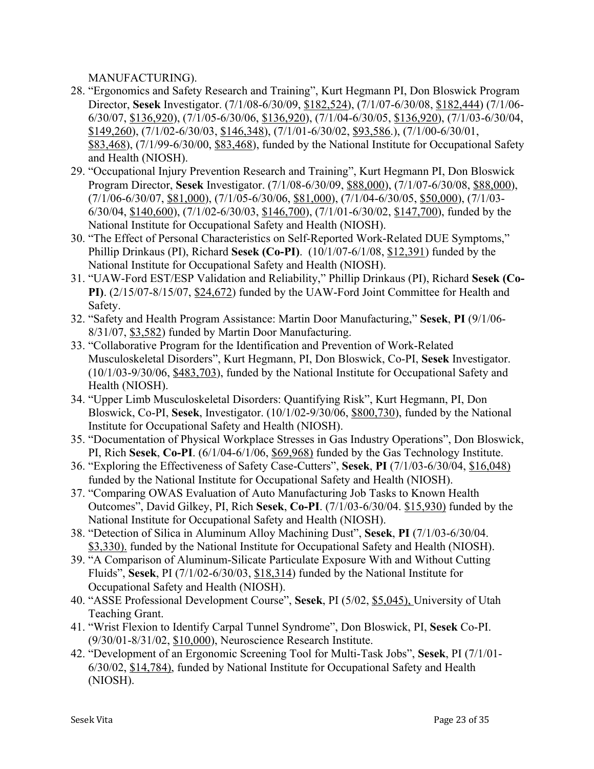MANUFACTURING).

- 28. "Ergonomics and Safety Research and Training", Kurt Hegmann PI, Don Bloswick Program Director, **Sesek** Investigator. (7/1/08-6/30/09, \$182,524), (7/1/07-6/30/08, \$182,444) (7/1/06- 6/30/07, \$136,920), (7/1/05-6/30/06, \$136,920), (7/1/04-6/30/05, \$136,920), (7/1/03-6/30/04, \$149,260), (7/1/02-6/30/03, \$146,348), (7/1/01-6/30/02, \$93,586.), (7/1/00-6/30/01, \$83,468), (7/1/99-6/30/00, \$83,468), funded by the National Institute for Occupational Safety and Health (NIOSH).
- 29. "Occupational Injury Prevention Research and Training", Kurt Hegmann PI, Don Bloswick Program Director, **Sesek** Investigator. (7/1/08-6/30/09, \$88,000), (7/1/07-6/30/08, \$88,000), (7/1/06-6/30/07, \$81,000), (7/1/05-6/30/06, \$81,000), (7/1/04-6/30/05, \$50,000), (7/1/03- 6/30/04, \$140,600), (7/1/02-6/30/03, \$146,700), (7/1/01-6/30/02, \$147,700), funded by the National Institute for Occupational Safety and Health (NIOSH).
- 30. "The Effect of Personal Characteristics on Self-Reported Work-Related DUE Symptoms," Phillip Drinkaus (PI), Richard **Sesek (Co-PI)**. (10/1/07-6/1/08, \$12,391) funded by the National Institute for Occupational Safety and Health (NIOSH).
- 31. "UAW-Ford EST/ESP Validation and Reliability," Phillip Drinkaus (PI), Richard **Sesek (Co-PI)**. (2/15/07-8/15/07, \$24,672) funded by the UAW-Ford Joint Committee for Health and Safety.
- 32. "Safety and Health Program Assistance: Martin Door Manufacturing," **Sesek**, **PI** (9/1/06- 8/31/07, \$3,582) funded by Martin Door Manufacturing.
- 33. "Collaborative Program for the Identification and Prevention of Work-Related Musculoskeletal Disorders", Kurt Hegmann, PI, Don Bloswick, Co-PI, **Sesek** Investigator. (10/1/03-9/30/06, \$483,703), funded by the National Institute for Occupational Safety and Health (NIOSH).
- 34. "Upper Limb Musculoskeletal Disorders: Quantifying Risk", Kurt Hegmann, PI, Don Bloswick, Co-PI, **Sesek**, Investigator. (10/1/02-9/30/06, \$800,730), funded by the National Institute for Occupational Safety and Health (NIOSH).
- 35. "Documentation of Physical Workplace Stresses in Gas Industry Operations", Don Bloswick, PI, Rich **Sesek**, **Co-PI**. (6/1/04-6/1/06, \$69,968) funded by the Gas Technology Institute.
- 36. "Exploring the Effectiveness of Safety Case-Cutters", **Sesek**, **PI** (7/1/03-6/30/04, \$16,048) funded by the National Institute for Occupational Safety and Health (NIOSH).
- 37. "Comparing OWAS Evaluation of Auto Manufacturing Job Tasks to Known Health Outcomes", David Gilkey, PI, Rich **Sesek**, **Co-PI**. (7/1/03-6/30/04. \$15,930) funded by the National Institute for Occupational Safety and Health (NIOSH).
- 38. "Detection of Silica in Aluminum Alloy Machining Dust", **Sesek**, **PI** (7/1/03-6/30/04. \$3,330). funded by the National Institute for Occupational Safety and Health (NIOSH).
- 39. "A Comparison of Aluminum-Silicate Particulate Exposure With and Without Cutting Fluids", **Sesek**, PI (7/1/02-6/30/03, \$18,314) funded by the National Institute for Occupational Safety and Health (NIOSH).
- 40. "ASSE Professional Development Course", **Sesek**, PI (5/02, \$5,045), University of Utah Teaching Grant.
- 41. "Wrist Flexion to Identify Carpal Tunnel Syndrome", Don Bloswick, PI, **Sesek** Co-PI. (9/30/01-8/31/02, \$10,000), Neuroscience Research Institute.
- 42. "Development of an Ergonomic Screening Tool for Multi-Task Jobs", **Sesek**, PI (7/1/01- 6/30/02, \$14,784), funded by National Institute for Occupational Safety and Health (NIOSH).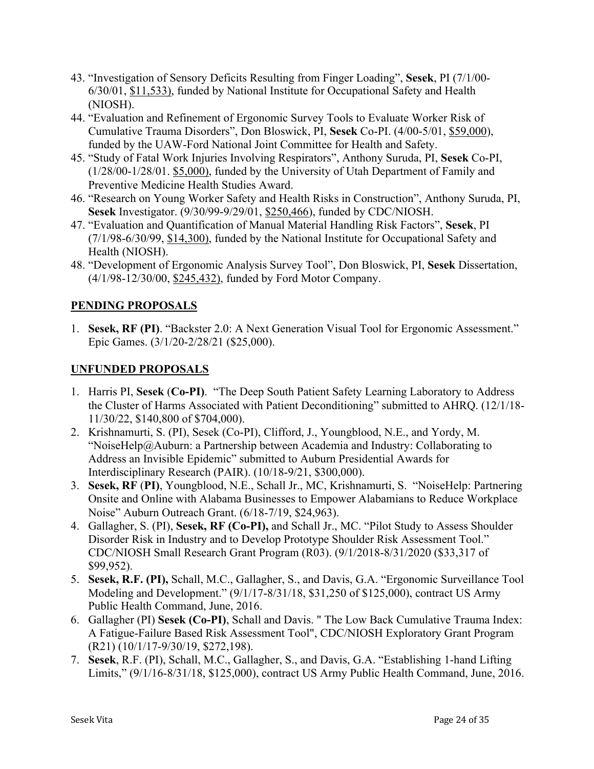- 43. "Investigation of Sensory Deficits Resulting from Finger Loading", **Sesek**, PI (7/1/00- 6/30/01, \$11,533), funded by National Institute for Occupational Safety and Health (NIOSH).
- 44. "Evaluation and Refinement of Ergonomic Survey Tools to Evaluate Worker Risk of Cumulative Trauma Disorders", Don Bloswick, PI, **Sesek** Co-PI. (4/00-5/01, \$59,000), funded by the UAW-Ford National Joint Committee for Health and Safety.
- 45. "Study of Fatal Work Injuries Involving Respirators", Anthony Suruda, PI, **Sesek** Co-PI, (1/28/00-1/28/01. \$5,000), funded by the University of Utah Department of Family and Preventive Medicine Health Studies Award.
- 46. "Research on Young Worker Safety and Health Risks in Construction", Anthony Suruda, PI, **Sesek** Investigator. (9/30/99-9/29/01, \$250,466), funded by CDC/NIOSH.
- 47. "Evaluation and Quantification of Manual Material Handling Risk Factors", **Sesek**, PI (7/1/98-6/30/99, \$14,300), funded by the National Institute for Occupational Safety and Health (NIOSH).
- 48. "Development of Ergonomic Analysis Survey Tool", Don Bloswick, PI, **Sesek** Dissertation, (4/1/98-12/30/00, \$245,432), funded by Ford Motor Company.

# **PENDING PROPOSALS**

1. **Sesek, RF (PI)**. "Backster 2.0: A Next Generation Visual Tool for Ergonomic Assessment." Epic Games. (3/1/20-2/28/21 (\$25,000).

## **UNFUNDED PROPOSALS**

- 1. Harris PI, **Sesek** (**Co-PI)**. "The Deep South Patient Safety Learning Laboratory to Address the Cluster of Harms Associated with Patient Deconditioning" submitted to AHRQ. (12/1/18- 11/30/22, \$140,800 of \$704,000).
- 2. Krishnamurti, S. (PI), Sesek (Co-PI), Clifford, J., Youngblood, N.E., and Yordy, M. "NoiseHelp@Auburn: a Partnership between Academia and Industry: Collaborating to Address an Invisible Epidemic" submitted to Auburn Presidential Awards for Interdisciplinary Research (PAIR). (10/18-9/21, \$300,000).
- 3. **Sesek, RF** (**PI)**, Youngblood, N.E., Schall Jr., MC, Krishnamurti, S. "NoiseHelp: Partnering Onsite and Online with Alabama Businesses to Empower Alabamians to Reduce Workplace Noise" Auburn Outreach Grant. (6/18-7/19, \$24,963).
- 4. Gallagher, S. (PI), **Sesek, RF (Co-PI),** and Schall Jr., MC. "Pilot Study to Assess Shoulder Disorder Risk in Industry and to Develop Prototype Shoulder Risk Assessment Tool." CDC/NIOSH Small Research Grant Program (R03). (9/1/2018-8/31/2020 (\$33,317 of \$99,952).
- 5. **Sesek, R.F. (PI),** Schall, M.C., Gallagher, S., and Davis, G.A. "Ergonomic Surveillance Tool Modeling and Development." (9/1/17-8/31/18, \$31,250 of \$125,000), contract US Army Public Health Command, June, 2016.
- 6. Gallagher (PI) **Sesek (Co-PI)**, Schall and Davis. " The Low Back Cumulative Trauma Index: A Fatigue-Failure Based Risk Assessment Tool", CDC/NIOSH Exploratory Grant Program (R21) (10/1/17-9/30/19, \$272,198).
- 7. **Sesek**, R.F. (PI), Schall, M.C., Gallagher, S., and Davis, G.A. "Establishing 1-hand Lifting Limits," (9/1/16-8/31/18, \$125,000), contract US Army Public Health Command, June, 2016.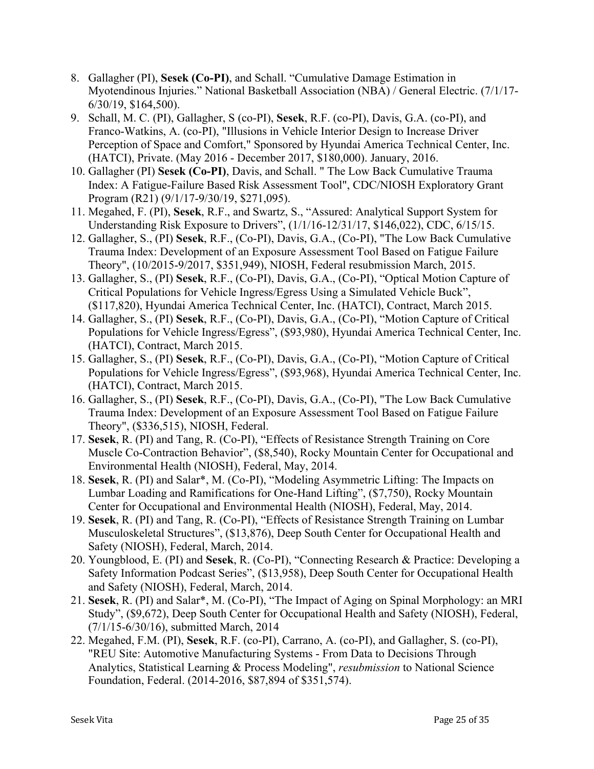- 8. Gallagher (PI), **Sesek (Co-PI)**, and Schall. "Cumulative Damage Estimation in Myotendinous Injuries." National Basketball Association (NBA) / General Electric. (7/1/17- 6/30/19, \$164,500).
- 9. Schall, M. C. (PI), Gallagher, S (co-PI), **Sesek**, R.F. (co-PI), Davis, G.A. (co-PI), and Franco-Watkins, A. (co-PI), "Illusions in Vehicle Interior Design to Increase Driver Perception of Space and Comfort," Sponsored by Hyundai America Technical Center, Inc. (HATCI), Private. (May 2016 - December 2017, \$180,000). January, 2016.
- 10. Gallagher (PI) **Sesek (Co-PI)**, Davis, and Schall. " The Low Back Cumulative Trauma Index: A Fatigue-Failure Based Risk Assessment Tool", CDC/NIOSH Exploratory Grant Program (R21) (9/1/17-9/30/19, \$271,095).
- 11. Megahed, F. (PI), **Sesek**, R.F., and Swartz, S., "Assured: Analytical Support System for Understanding Risk Exposure to Drivers", (1/1/16-12/31/17, \$146,022), CDC, 6/15/15.
- 12. Gallagher, S., (PI) **Sesek**, R.F., (Co-PI), Davis, G.A., (Co-PI), "The Low Back Cumulative Trauma Index: Development of an Exposure Assessment Tool Based on Fatigue Failure Theory", (10/2015-9/2017, \$351,949), NIOSH, Federal resubmission March, 2015.
- 13. Gallagher, S., (PI) **Sesek**, R.F., (Co-PI), Davis, G.A., (Co-PI), "Optical Motion Capture of Critical Populations for Vehicle Ingress/Egress Using a Simulated Vehicle Buck", (\$117,820), Hyundai America Technical Center, Inc. (HATCI), Contract, March 2015.
- 14. Gallagher, S., (PI) **Sesek**, R.F., (Co-PI), Davis, G.A., (Co-PI), "Motion Capture of Critical Populations for Vehicle Ingress/Egress", (\$93,980), Hyundai America Technical Center, Inc. (HATCI), Contract, March 2015.
- 15. Gallagher, S., (PI) **Sesek**, R.F., (Co-PI), Davis, G.A., (Co-PI), "Motion Capture of Critical Populations for Vehicle Ingress/Egress", (\$93,968), Hyundai America Technical Center, Inc. (HATCI), Contract, March 2015.
- 16. Gallagher, S., (PI) **Sesek**, R.F., (Co-PI), Davis, G.A., (Co-PI), "The Low Back Cumulative Trauma Index: Development of an Exposure Assessment Tool Based on Fatigue Failure Theory", (\$336,515), NIOSH, Federal.
- 17. **Sesek**, R. (PI) and Tang, R. (Co-PI), "Effects of Resistance Strength Training on Core Muscle Co-Contraction Behavior", (\$8,540), Rocky Mountain Center for Occupational and Environmental Health (NIOSH), Federal, May, 2014.
- 18. **Sesek**, R. (PI) and Salar\*, M. (Co-PI), "Modeling Asymmetric Lifting: The Impacts on Lumbar Loading and Ramifications for One-Hand Lifting", (\$7,750), Rocky Mountain Center for Occupational and Environmental Health (NIOSH), Federal, May, 2014.
- 19. **Sesek**, R. (PI) and Tang, R. (Co-PI), "Effects of Resistance Strength Training on Lumbar Musculoskeletal Structures", (\$13,876), Deep South Center for Occupational Health and Safety (NIOSH), Federal, March, 2014.
- 20. Youngblood, E. (PI) and **Sesek**, R. (Co-PI), "Connecting Research & Practice: Developing a Safety Information Podcast Series", (\$13,958), Deep South Center for Occupational Health and Safety (NIOSH), Federal, March, 2014.
- 21. **Sesek**, R. (PI) and Salar\*, M. (Co-PI), "The Impact of Aging on Spinal Morphology: an MRI Study", (\$9,672), Deep South Center for Occupational Health and Safety (NIOSH), Federal, (7/1/15-6/30/16), submitted March, 2014
- 22. Megahed, F.M. (PI), **Sesek**, R.F. (co-PI), Carrano, A. (co-PI), and Gallagher, S. (co-PI), "REU Site: Automotive Manufacturing Systems - From Data to Decisions Through Analytics, Statistical Learning & Process Modeling", *resubmission* to National Science Foundation, Federal. (2014-2016, \$87,894 of \$351,574).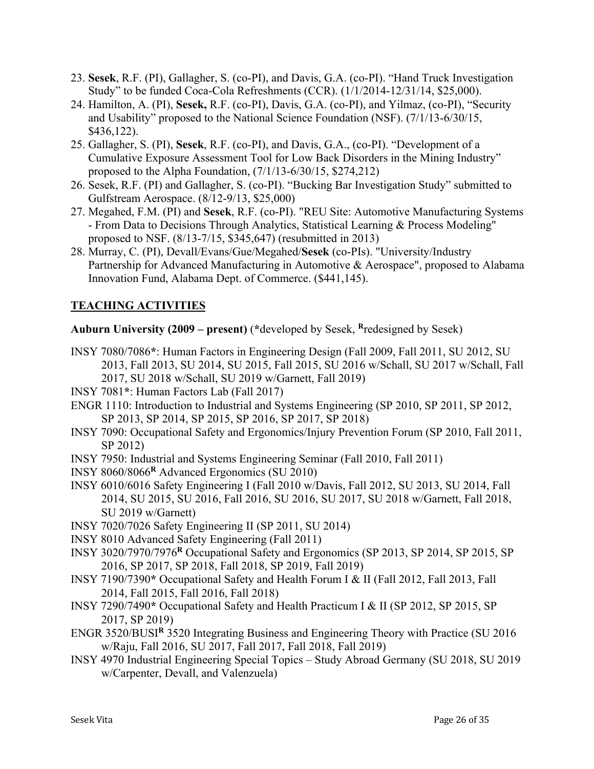- 23. **Sesek**, R.F. (PI), Gallagher, S. (co-PI), and Davis, G.A. (co-PI). "Hand Truck Investigation Study" to be funded Coca-Cola Refreshments (CCR). (1/1/2014-12/31/14, \$25,000).
- 24. Hamilton, A. (PI), **Sesek,** R.F. (co-PI), Davis, G.A. (co-PI), and Yilmaz, (co-PI), "Security and Usability" proposed to the National Science Foundation (NSF). (7/1/13-6/30/15, \$436,122).
- 25. Gallagher, S. (PI), **Sesek**, R.F. (co-PI), and Davis, G.A., (co-PI). "Development of a Cumulative Exposure Assessment Tool for Low Back Disorders in the Mining Industry" proposed to the Alpha Foundation, (7/1/13-6/30/15, \$274,212)
- 26. Sesek, R.F. (PI) and Gallagher, S. (co-PI). "Bucking Bar Investigation Study" submitted to Gulfstream Aerospace. (8/12-9/13, \$25,000)
- 27. Megahed, F.M. (PI) and **Sesek**, R.F. (co-PI). "REU Site: Automotive Manufacturing Systems - From Data to Decisions Through Analytics, Statistical Learning & Process Modeling" proposed to NSF. (8/13-7/15, \$345,647) (resubmitted in 2013)
- 28. Murray, C. (PI), Devall/Evans/Gue/Megahed/**Sesek** (co-PIs). "University/Industry Partnership for Advanced Manufacturing in Automotive & Aerospace", proposed to Alabama Innovation Fund, Alabama Dept. of Commerce. (\$441,145).

# **TEACHING ACTIVITIES**

**Auburn University (2009 – present)** (**\***developed by Sesek, **<sup>R</sup>**redesigned by Sesek)

- INSY 7080/7086**\***: Human Factors in Engineering Design (Fall 2009, Fall 2011, SU 2012, SU 2013, Fall 2013, SU 2014, SU 2015, Fall 2015, SU 2016 w/Schall, SU 2017 w/Schall, Fall 2017, SU 2018 w/Schall, SU 2019 w/Garnett, Fall 2019)
- INSY 7081**\***: Human Factors Lab (Fall 2017)
- ENGR 1110: Introduction to Industrial and Systems Engineering (SP 2010, SP 2011, SP 2012, SP 2013, SP 2014, SP 2015, SP 2016, SP 2017, SP 2018)
- INSY 7090: Occupational Safety and Ergonomics/Injury Prevention Forum (SP 2010, Fall 2011, SP 2012)
- INSY 7950: Industrial and Systems Engineering Seminar (Fall 2010, Fall 2011)
- INSY 8060/8066**<sup>R</sup>** Advanced Ergonomics (SU 2010)
- INSY 6010/6016 Safety Engineering I (Fall 2010 w/Davis, Fall 2012, SU 2013, SU 2014, Fall 2014, SU 2015, SU 2016, Fall 2016, SU 2016, SU 2017, SU 2018 w/Garnett, Fall 2018, SU 2019 w/Garnett)
- INSY 7020/7026 Safety Engineering II (SP 2011, SU 2014)
- INSY 8010 Advanced Safety Engineering (Fall 2011)
- INSY 3020/7970/7976**<sup>R</sup>** Occupational Safety and Ergonomics (SP 2013, SP 2014, SP 2015, SP 2016, SP 2017, SP 2018, Fall 2018, SP 2019, Fall 2019)
- INSY 7190/7390**\*** Occupational Safety and Health Forum I & II (Fall 2012, Fall 2013, Fall 2014, Fall 2015, Fall 2016, Fall 2018)
- INSY 7290/7490**\*** Occupational Safety and Health Practicum I & II (SP 2012, SP 2015, SP 2017, SP 2019)
- ENGR 3520/BUSI**<sup>R</sup>** 3520 Integrating Business and Engineering Theory with Practice (SU 2016 w/Raju, Fall 2016, SU 2017, Fall 2017, Fall 2018, Fall 2019)
- INSY 4970 Industrial Engineering Special Topics Study Abroad Germany (SU 2018, SU 2019 w/Carpenter, Devall, and Valenzuela)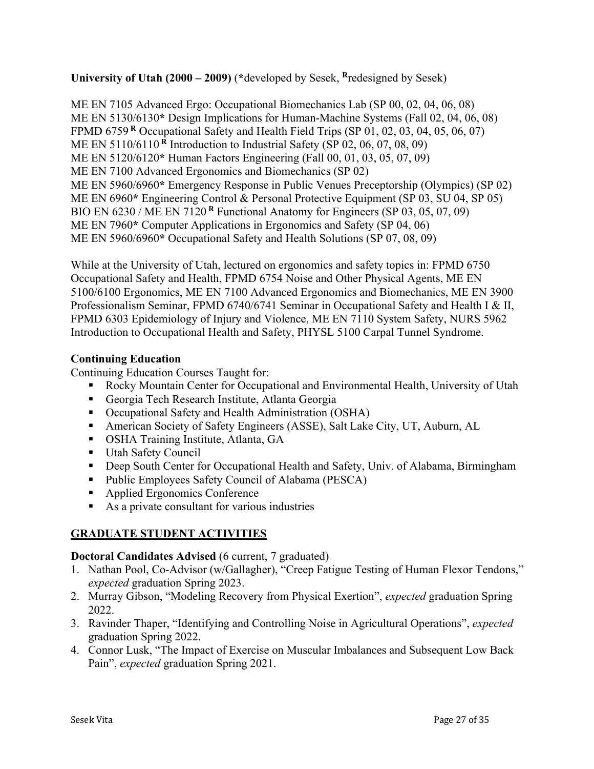**University of Utah (2000 – 2009)** (**\***developed by Sesek, **<sup>R</sup>**redesigned by Sesek)

ME EN 7105 Advanced Ergo: Occupational Biomechanics Lab (SP 00, 02, 04, 06, 08) ME EN 5130/6130**\*** Design Implications for Human-Machine Systems (Fall 02, 04, 06, 08) FPMD 6759 **<sup>R</sup>** Occupational Safety and Health Field Trips (SP 01, 02, 03, 04, 05, 06, 07) ME EN 5110/6110 **<sup>R</sup>** Introduction to Industrial Safety (SP 02, 06, 07, 08, 09) ME EN 5120/6120**\*** Human Factors Engineering (Fall 00, 01, 03, 05, 07, 09) ME EN 7100 Advanced Ergonomics and Biomechanics (SP 02) ME EN 5960/6960**\*** Emergency Response in Public Venues Preceptorship (Olympics) (SP 02) ME EN 6960**\*** Engineering Control & Personal Protective Equipment (SP 03, SU 04, SP 05) BIO EN 6230 / ME EN 7120 **<sup>R</sup>** Functional Anatomy for Engineers (SP 03, 05, 07, 09) ME EN 7960**\*** Computer Applications in Ergonomics and Safety (SP 04, 06) ME EN 5960/6960**\*** Occupational Safety and Health Solutions (SP 07, 08, 09)

While at the University of Utah, lectured on ergonomics and safety topics in: FPMD 6750 Occupational Safety and Health, FPMD 6754 Noise and Other Physical Agents, ME EN 5100/6100 Ergonomics, ME EN 7100 Advanced Ergonomics and Biomechanics, ME EN 3900 Professionalism Seminar, FPMD 6740/6741 Seminar in Occupational Safety and Health I & II, FPMD 6303 Epidemiology of Injury and Violence, ME EN 7110 System Safety, NURS 5962 Introduction to Occupational Health and Safety, PHYSL 5100 Carpal Tunnel Syndrome.

# **Continuing Education**

Continuing Education Courses Taught for:

- Rocky Mountain Center for Occupational and Environmental Health, University of Utah
- Georgia Tech Research Institute, Atlanta Georgia
- Occupational Safety and Health Administration (OSHA)
- § American Society of Safety Engineers (ASSE), Salt Lake City, UT, Auburn, AL
- OSHA Training Institute, Atlanta, GA
- Utah Safety Council
- Deep South Center for Occupational Health and Safety, Univ. of Alabama, Birmingham
- Public Employees Safety Council of Alabama (PESCA)
- Applied Ergonomics Conference
- As a private consultant for various industries

# **GRADUATE STUDENT ACTIVITIES**

## **Doctoral Candidates Advised** (6 current, 7 graduated)

- 1. Nathan Pool, Co-Advisor (w/Gallagher), "Creep Fatigue Testing of Human Flexor Tendons," *expected* graduation Spring 2023.
- 2. Murray Gibson, "Modeling Recovery from Physical Exertion", *expected* graduation Spring 2022.
- 3. Ravinder Thaper, "Identifying and Controlling Noise in Agricultural Operations", *expected* graduation Spring 2022.
- 4. Connor Lusk, "The Impact of Exercise on Muscular Imbalances and Subsequent Low Back Pain", *expected* graduation Spring 2021.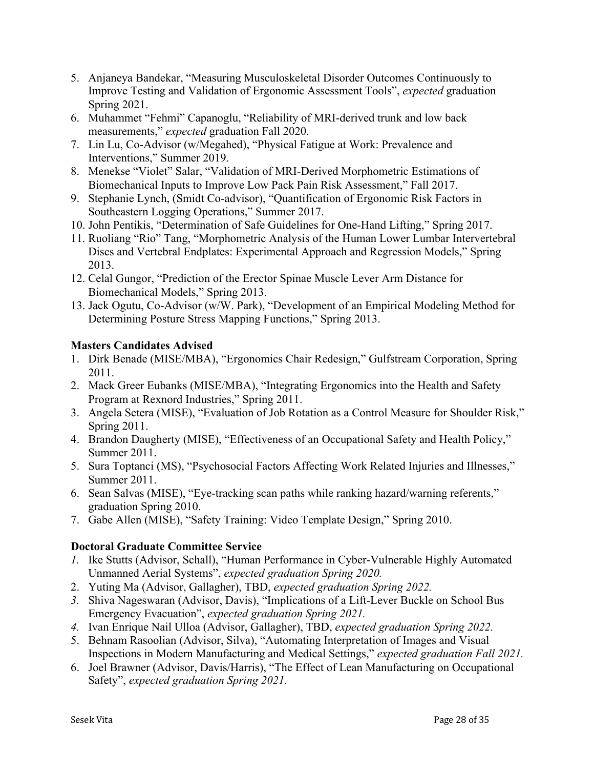- 5. Anjaneya Bandekar, "Measuring Musculoskeletal Disorder Outcomes Continuously to Improve Testing and Validation of Ergonomic Assessment Tools", *expected* graduation Spring 2021.
- 6. Muhammet "Fehmi" Capanoglu, "Reliability of MRI-derived trunk and low back measurements," *expected* graduation Fall 2020.
- 7. Lin Lu, Co-Advisor (w/Megahed), "Physical Fatigue at Work: Prevalence and Interventions," Summer 2019.
- 8. Menekse "Violet" Salar, "Validation of MRI-Derived Morphometric Estimations of Biomechanical Inputs to Improve Low Pack Pain Risk Assessment," Fall 2017.
- 9. Stephanie Lynch, (Smidt Co-advisor), "Quantification of Ergonomic Risk Factors in Southeastern Logging Operations," Summer 2017.
- 10. John Pentikis, "Determination of Safe Guidelines for One-Hand Lifting," Spring 2017.
- 11. Ruoliang "Rio" Tang, "Morphometric Analysis of the Human Lower Lumbar Intervertebral Discs and Vertebral Endplates: Experimental Approach and Regression Models," Spring 2013.
- 12. Celal Gungor, "Prediction of the Erector Spinae Muscle Lever Arm Distance for Biomechanical Models," Spring 2013.
- 13. Jack Ogutu, Co-Advisor (w/W. Park), "Development of an Empirical Modeling Method for Determining Posture Stress Mapping Functions," Spring 2013.

# **Masters Candidates Advised**

- 1. Dirk Benade (MISE/MBA), "Ergonomics Chair Redesign," Gulfstream Corporation, Spring 2011.
- 2. Mack Greer Eubanks (MISE/MBA), "Integrating Ergonomics into the Health and Safety Program at Rexnord Industries," Spring 2011.
- 3. Angela Setera (MISE), "Evaluation of Job Rotation as a Control Measure for Shoulder Risk," Spring 2011.
- 4. Brandon Daugherty (MISE), "Effectiveness of an Occupational Safety and Health Policy," Summer 2011.
- 5. Sura Toptanci (MS), "Psychosocial Factors Affecting Work Related Injuries and Illnesses," Summer 2011.
- 6. Sean Salvas (MISE), "Eye-tracking scan paths while ranking hazard/warning referents," graduation Spring 2010.
- 7. Gabe Allen (MISE), "Safety Training: Video Template Design," Spring 2010.

# **Doctoral Graduate Committee Service**

- *1.* Ike Stutts (Advisor, Schall), "Human Performance in Cyber-Vulnerable Highly Automated Unmanned Aerial Systems", *expected graduation Spring 2020.*
- 2. Yuting Ma (Advisor, Gallagher), TBD, *expected graduation Spring 2022.*
- *3.* Shiva Nageswaran (Advisor, Davis), "Implications of a Lift-Lever Buckle on School Bus Emergency Evacuation", *expected graduation Spring 2021.*
- *4.* Ivan Enrique Nail Ulloa (Advisor, Gallagher), TBD, *expected graduation Spring 2022.*
- 5. Behnam Rasoolian (Advisor, Silva), "Automating Interpretation of Images and Visual Inspections in Modern Manufacturing and Medical Settings," *expected graduation Fall 2021.*
- 6. Joel Brawner (Advisor, Davis/Harris), "The Effect of Lean Manufacturing on Occupational Safety", *expected graduation Spring 2021.*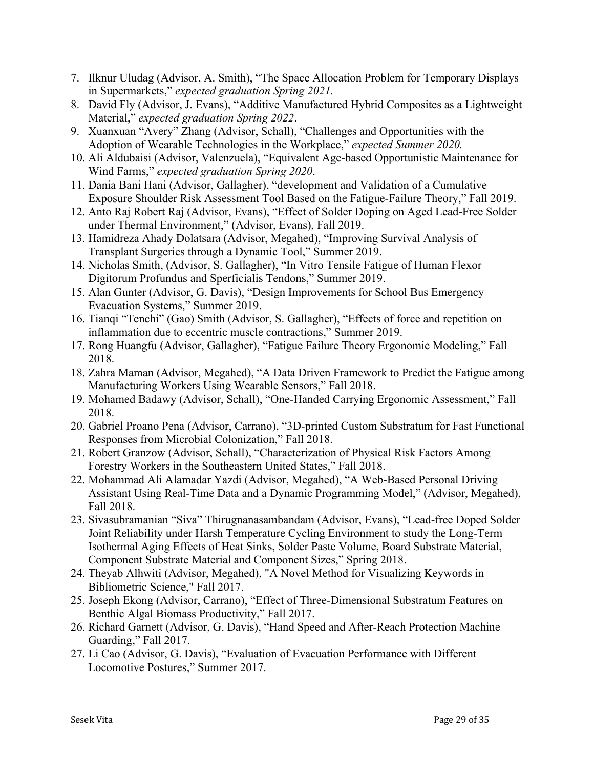- 7. Ilknur Uludag (Advisor, A. Smith), "The Space Allocation Problem for Temporary Displays in Supermarkets," *expected graduation Spring 2021.*
- 8. David Fly (Advisor, J. Evans), "Additive Manufactured Hybrid Composites as a Lightweight Material," *expected graduation Spring 2022*.
- 9. Xuanxuan "Avery" Zhang (Advisor, Schall), "Challenges and Opportunities with the Adoption of Wearable Technologies in the Workplace," *expected Summer 2020.*
- 10. Ali Aldubaisi (Advisor, Valenzuela), "Equivalent Age-based Opportunistic Maintenance for Wind Farms," *expected graduation Spring 2020*.
- 11. Dania Bani Hani (Advisor, Gallagher), "development and Validation of a Cumulative Exposure Shoulder Risk Assessment Tool Based on the Fatigue-Failure Theory," Fall 2019.
- 12. Anto Raj Robert Raj (Advisor, Evans), "Effect of Solder Doping on Aged Lead-Free Solder under Thermal Environment," (Advisor, Evans), Fall 2019.
- 13. Hamidreza Ahady Dolatsara (Advisor, Megahed), "Improving Survival Analysis of Transplant Surgeries through a Dynamic Tool," Summer 2019.
- 14. Nicholas Smith, (Advisor, S. Gallagher), "In Vitro Tensile Fatigue of Human Flexor Digitorum Profundus and Sperficialis Tendons," Summer 2019.
- 15. Alan Gunter (Advisor, G. Davis), "Design Improvements for School Bus Emergency Evacuation Systems," Summer 2019.
- 16. Tianqi "Tenchi" (Gao) Smith (Advisor, S. Gallagher), "Effects of force and repetition on inflammation due to eccentric muscle contractions," Summer 2019.
- 17. Rong Huangfu (Advisor, Gallagher), "Fatigue Failure Theory Ergonomic Modeling," Fall 2018.
- 18. Zahra Maman (Advisor, Megahed), "A Data Driven Framework to Predict the Fatigue among Manufacturing Workers Using Wearable Sensors," Fall 2018.
- 19. Mohamed Badawy (Advisor, Schall), "One-Handed Carrying Ergonomic Assessment," Fall 2018.
- 20. Gabriel Proano Pena (Advisor, Carrano), "3D-printed Custom Substratum for Fast Functional Responses from Microbial Colonization," Fall 2018.
- 21. Robert Granzow (Advisor, Schall), "Characterization of Physical Risk Factors Among Forestry Workers in the Southeastern United States," Fall 2018.
- 22. Mohammad Ali Alamadar Yazdi (Advisor, Megahed), "A Web-Based Personal Driving Assistant Using Real-Time Data and a Dynamic Programming Model," (Advisor, Megahed), Fall 2018.
- 23. Sivasubramanian "Siva" Thirugnanasambandam (Advisor, Evans), "Lead-free Doped Solder Joint Reliability under Harsh Temperature Cycling Environment to study the Long-Term Isothermal Aging Effects of Heat Sinks, Solder Paste Volume, Board Substrate Material, Component Substrate Material and Component Sizes," Spring 2018.
- 24. Theyab Alhwiti (Advisor, Megahed), "A Novel Method for Visualizing Keywords in Bibliometric Science," Fall 2017.
- 25. Joseph Ekong (Advisor, Carrano), "Effect of Three-Dimensional Substratum Features on Benthic Algal Biomass Productivity," Fall 2017.
- 26. Richard Garnett (Advisor, G. Davis), "Hand Speed and After-Reach Protection Machine Guarding," Fall 2017.
- 27. Li Cao (Advisor, G. Davis), "Evaluation of Evacuation Performance with Different Locomotive Postures," Summer 2017.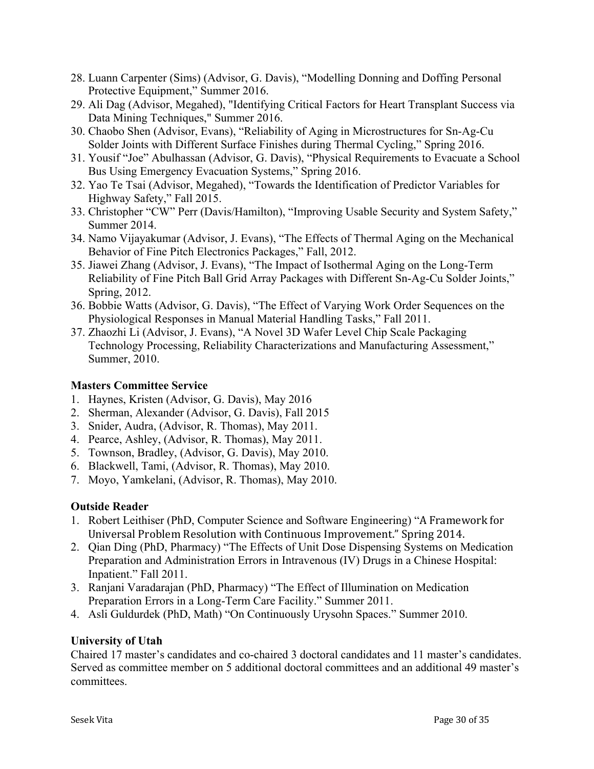- 28. Luann Carpenter (Sims) (Advisor, G. Davis), "Modelling Donning and Doffing Personal Protective Equipment," Summer 2016.
- 29. Ali Dag (Advisor, Megahed), "Identifying Critical Factors for Heart Transplant Success via Data Mining Techniques," Summer 2016.
- 30. Chaobo Shen (Advisor, Evans), "Reliability of Aging in Microstructures for Sn-Ag-Cu Solder Joints with Different Surface Finishes during Thermal Cycling," Spring 2016.
- 31. Yousif "Joe" Abulhassan (Advisor, G. Davis), "Physical Requirements to Evacuate a School Bus Using Emergency Evacuation Systems," Spring 2016.
- 32. Yao Te Tsai (Advisor, Megahed), "Towards the Identification of Predictor Variables for Highway Safety," Fall 2015.
- 33. Christopher "CW" Perr (Davis/Hamilton), "Improving Usable Security and System Safety," Summer 2014.
- 34. Namo Vijayakumar (Advisor, J. Evans), "The Effects of Thermal Aging on the Mechanical Behavior of Fine Pitch Electronics Packages," Fall, 2012.
- 35. Jiawei Zhang (Advisor, J. Evans), "The Impact of Isothermal Aging on the Long-Term Reliability of Fine Pitch Ball Grid Array Packages with Different Sn-Ag-Cu Solder Joints," Spring, 2012.
- 36. Bobbie Watts (Advisor, G. Davis), "The Effect of Varying Work Order Sequences on the Physiological Responses in Manual Material Handling Tasks," Fall 2011.
- 37. Zhaozhi Li (Advisor, J. Evans), "A Novel 3D Wafer Level Chip Scale Packaging Technology Processing, Reliability Characterizations and Manufacturing Assessment," Summer, 2010.

#### **Masters Committee Service**

- 1. Haynes, Kristen (Advisor, G. Davis), May 2016
- 2. Sherman, Alexander (Advisor, G. Davis), Fall 2015
- 3. Snider, Audra, (Advisor, R. Thomas), May 2011.
- 4. Pearce, Ashley, (Advisor, R. Thomas), May 2011.
- 5. Townson, Bradley, (Advisor, G. Davis), May 2010.
- 6. Blackwell, Tami, (Advisor, R. Thomas), May 2010.
- 7. Moyo, Yamkelani, (Advisor, R. Thomas), May 2010.

## **Outside Reader**

- 1. Robert Leithiser (PhD, Computer Science and Software Engineering) "A Framework for Universal Problem Resolution with Continuous Improvement." Spring 2014.
- 2. Qian Ding (PhD, Pharmacy) "The Effects of Unit Dose Dispensing Systems on Medication Preparation and Administration Errors in Intravenous (IV) Drugs in a Chinese Hospital: Inpatient." Fall 2011.
- 3. Ranjani Varadarajan (PhD, Pharmacy) "The Effect of Illumination on Medication Preparation Errors in a Long-Term Care Facility." Summer 2011.
- 4. Asli Guldurdek (PhD, Math) "On Continuously Urysohn Spaces." Summer 2010.

## **University of Utah**

Chaired 17 master's candidates and co-chaired 3 doctoral candidates and 11 master's candidates. Served as committee member on 5 additional doctoral committees and an additional 49 master's committees.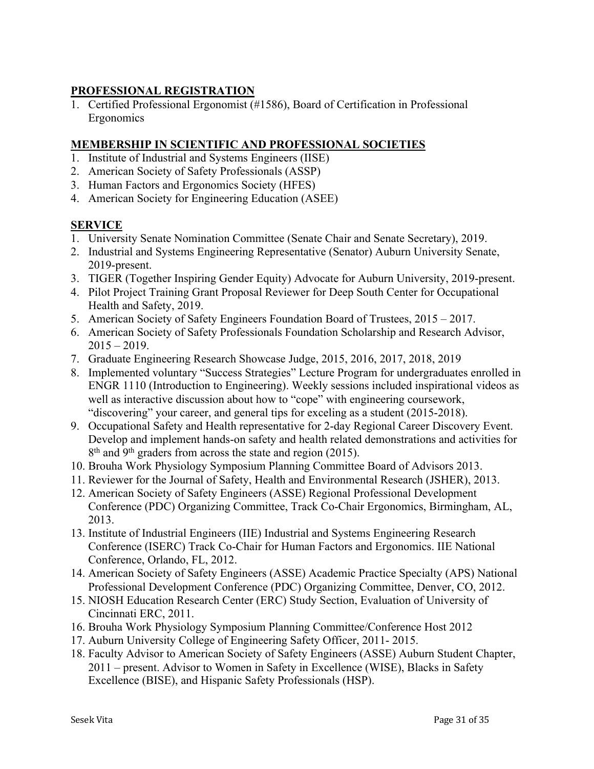# **PROFESSIONAL REGISTRATION**

1. Certified Professional Ergonomist (#1586), Board of Certification in Professional Ergonomics

## **MEMBERSHIP IN SCIENTIFIC AND PROFESSIONAL SOCIETIES**

- 1. Institute of Industrial and Systems Engineers (IISE)
- 2. American Society of Safety Professionals (ASSP)
- 3. Human Factors and Ergonomics Society (HFES)
- 4. American Society for Engineering Education (ASEE)

## **SERVICE**

- 1. University Senate Nomination Committee (Senate Chair and Senate Secretary), 2019.
- 2. Industrial and Systems Engineering Representative (Senator) Auburn University Senate, 2019-present.
- 3. TIGER (Together Inspiring Gender Equity) Advocate for Auburn University, 2019-present.
- 4. Pilot Project Training Grant Proposal Reviewer for Deep South Center for Occupational Health and Safety, 2019.
- 5. American Society of Safety Engineers Foundation Board of Trustees, 2015 2017.
- 6. American Society of Safety Professionals Foundation Scholarship and Research Advisor,  $2015 - 2019$ .
- 7. Graduate Engineering Research Showcase Judge, 2015, 2016, 2017, 2018, 2019
- 8. Implemented voluntary "Success Strategies" Lecture Program for undergraduates enrolled in ENGR 1110 (Introduction to Engineering). Weekly sessions included inspirational videos as well as interactive discussion about how to "cope" with engineering coursework, "discovering" your career, and general tips for exceling as a student (2015-2018).
- 9. Occupational Safety and Health representative for 2-day Regional Career Discovery Event. Develop and implement hands-on safety and health related demonstrations and activities for  $8<sup>th</sup>$  and 9<sup>th</sup> graders from across the state and region (2015).
- 10. Brouha Work Physiology Symposium Planning Committee Board of Advisors 2013.
- 11. Reviewer for the Journal of Safety, Health and Environmental Research (JSHER), 2013.
- 12. American Society of Safety Engineers (ASSE) Regional Professional Development Conference (PDC) Organizing Committee, Track Co-Chair Ergonomics, Birmingham, AL, 2013.
- 13. Institute of Industrial Engineers (IIE) Industrial and Systems Engineering Research Conference (ISERC) Track Co-Chair for Human Factors and Ergonomics. IIE National Conference, Orlando, FL, 2012.
- 14. American Society of Safety Engineers (ASSE) Academic Practice Specialty (APS) National Professional Development Conference (PDC) Organizing Committee, Denver, CO, 2012.
- 15. NIOSH Education Research Center (ERC) Study Section, Evaluation of University of Cincinnati ERC, 2011.
- 16. Brouha Work Physiology Symposium Planning Committee/Conference Host 2012
- 17. Auburn University College of Engineering Safety Officer, 2011- 2015.
- 18. Faculty Advisor to American Society of Safety Engineers (ASSE) Auburn Student Chapter, 2011 – present. Advisor to Women in Safety in Excellence (WISE), Blacks in Safety Excellence (BISE), and Hispanic Safety Professionals (HSP).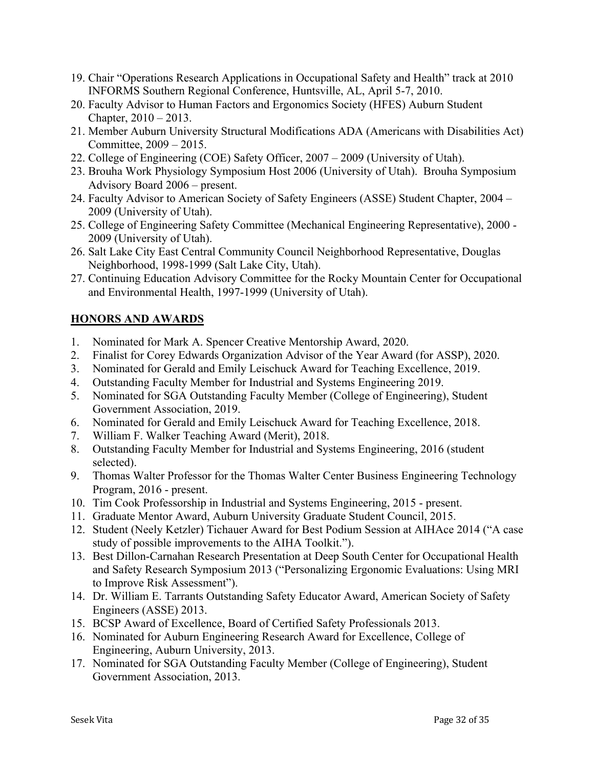- 19. Chair "Operations Research Applications in Occupational Safety and Health" track at 2010 INFORMS Southern Regional Conference, Huntsville, AL, April 5-7, 2010.
- 20. Faculty Advisor to Human Factors and Ergonomics Society (HFES) Auburn Student Chapter, 2010 – 2013.
- 21. Member Auburn University Structural Modifications ADA (Americans with Disabilities Act) Committee, 2009 – 2015.
- 22. College of Engineering (COE) Safety Officer, 2007 2009 (University of Utah).
- 23. Brouha Work Physiology Symposium Host 2006 (University of Utah). Brouha Symposium Advisory Board 2006 – present.
- 24. Faculty Advisor to American Society of Safety Engineers (ASSE) Student Chapter, 2004 2009 (University of Utah).
- 25. College of Engineering Safety Committee (Mechanical Engineering Representative), 2000 2009 (University of Utah).
- 26. Salt Lake City East Central Community Council Neighborhood Representative, Douglas Neighborhood, 1998-1999 (Salt Lake City, Utah).
- 27. Continuing Education Advisory Committee for the Rocky Mountain Center for Occupational and Environmental Health, 1997-1999 (University of Utah).

# **HONORS AND AWARDS**

- 1. Nominated for Mark A. Spencer Creative Mentorship Award, 2020.
- 2. Finalist for Corey Edwards Organization Advisor of the Year Award (for ASSP), 2020.
- 3. Nominated for Gerald and Emily Leischuck Award for Teaching Excellence, 2019.
- 4. Outstanding Faculty Member for Industrial and Systems Engineering 2019.
- 5. Nominated for SGA Outstanding Faculty Member (College of Engineering), Student Government Association, 2019.
- 6. Nominated for Gerald and Emily Leischuck Award for Teaching Excellence, 2018.
- 7. William F. Walker Teaching Award (Merit), 2018.
- 8. Outstanding Faculty Member for Industrial and Systems Engineering, 2016 (student selected).
- 9. Thomas Walter Professor for the Thomas Walter Center Business Engineering Technology Program, 2016 - present.
- 10. Tim Cook Professorship in Industrial and Systems Engineering, 2015 present.
- 11. Graduate Mentor Award, Auburn University Graduate Student Council, 2015.
- 12. Student (Neely Ketzler) Tichauer Award for Best Podium Session at AIHAce 2014 ("A case study of possible improvements to the AIHA Toolkit.").
- 13. Best Dillon-Carnahan Research Presentation at Deep South Center for Occupational Health and Safety Research Symposium 2013 ("Personalizing Ergonomic Evaluations: Using MRI to Improve Risk Assessment").
- 14. Dr. William E. Tarrants Outstanding Safety Educator Award, American Society of Safety Engineers (ASSE) 2013.
- 15. BCSP Award of Excellence, Board of Certified Safety Professionals 2013.
- 16. Nominated for Auburn Engineering Research Award for Excellence, College of Engineering, Auburn University, 2013.
- 17. Nominated for SGA Outstanding Faculty Member (College of Engineering), Student Government Association, 2013.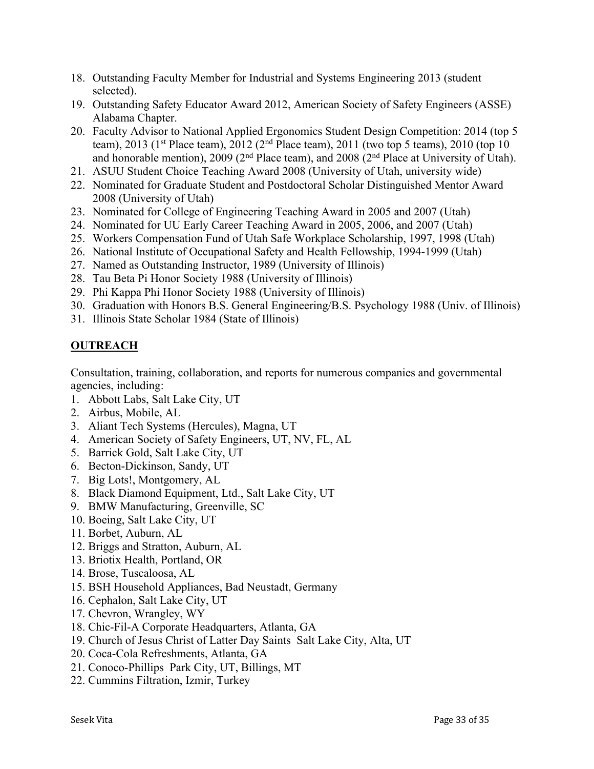- 18. Outstanding Faculty Member for Industrial and Systems Engineering 2013 (student selected).
- 19. Outstanding Safety Educator Award 2012, American Society of Safety Engineers (ASSE) Alabama Chapter.
- 20. Faculty Advisor to National Applied Ergonomics Student Design Competition: 2014 (top 5 team), 2013 (1<sup>st</sup> Place team), 2012 (2<sup>nd</sup> Place team), 2011 (two top 5 teams), 2010 (top 10 and honorable mention), 2009 ( $2<sup>nd</sup>$  Place team), and 2008 ( $2<sup>nd</sup>$  Place at University of Utah).
- 21. ASUU Student Choice Teaching Award 2008 (University of Utah, university wide)
- 22. Nominated for Graduate Student and Postdoctoral Scholar Distinguished Mentor Award 2008 (University of Utah)
- 23. Nominated for College of Engineering Teaching Award in 2005 and 2007 (Utah)
- 24. Nominated for UU Early Career Teaching Award in 2005, 2006, and 2007 (Utah)
- 25. Workers Compensation Fund of Utah Safe Workplace Scholarship, 1997, 1998 (Utah)
- 26. National Institute of Occupational Safety and Health Fellowship, 1994-1999 (Utah)
- 27. Named as Outstanding Instructor, 1989 (University of Illinois)
- 28. Tau Beta Pi Honor Society 1988 (University of Illinois)
- 29. Phi Kappa Phi Honor Society 1988 (University of Illinois)
- 30. Graduation with Honors B.S. General Engineering/B.S. Psychology 1988 (Univ. of Illinois)
- 31. Illinois State Scholar 1984 (State of Illinois)

# **OUTREACH**

Consultation, training, collaboration, and reports for numerous companies and governmental agencies, including:

- 1. Abbott Labs, Salt Lake City, UT
- 2. Airbus, Mobile, AL
- 3. Aliant Tech Systems (Hercules), Magna, UT
- 4. American Society of Safety Engineers, UT, NV, FL, AL
- 5. Barrick Gold, Salt Lake City, UT
- 6. Becton-Dickinson, Sandy, UT
- 7. Big Lots!, Montgomery, AL
- 8. Black Diamond Equipment, Ltd., Salt Lake City, UT
- 9. BMW Manufacturing, Greenville, SC
- 10. Boeing, Salt Lake City, UT
- 11. Borbet, Auburn, AL
- 12. Briggs and Stratton, Auburn, AL
- 13. Briotix Health, Portland, OR
- 14. Brose, Tuscaloosa, AL
- 15. BSH Household Appliances, Bad Neustadt, Germany
- 16. Cephalon, Salt Lake City, UT
- 17. Chevron, Wrangley, WY
- 18. Chic-Fil-A Corporate Headquarters, Atlanta, GA
- 19. Church of Jesus Christ of Latter Day Saints Salt Lake City, Alta, UT
- 20. Coca-Cola Refreshments, Atlanta, GA
- 21. Conoco-Phillips Park City, UT, Billings, MT
- 22. Cummins Filtration, Izmir, Turkey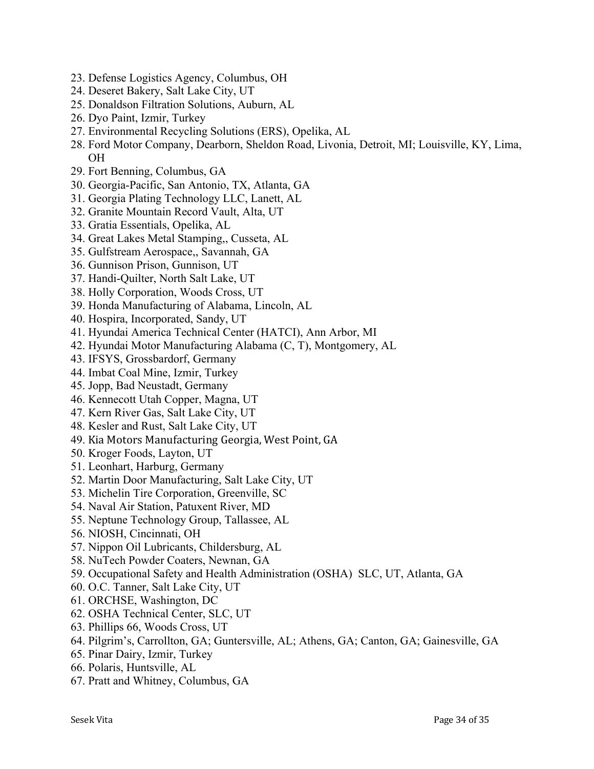- 23. Defense Logistics Agency, Columbus, OH
- 24. Deseret Bakery, Salt Lake City, UT
- 25. Donaldson Filtration Solutions, Auburn, AL
- 26. Dyo Paint, Izmir, Turkey
- 27. Environmental Recycling Solutions (ERS), Opelika, AL
- 28. Ford Motor Company, Dearborn, Sheldon Road, Livonia, Detroit, MI; Louisville, KY, Lima, OH
- 29. Fort Benning, Columbus, GA
- 30. Georgia-Pacific, San Antonio, TX, Atlanta, GA
- 31. Georgia Plating Technology LLC, Lanett, AL
- 32. Granite Mountain Record Vault, Alta, UT
- 33. Gratia Essentials, Opelika, AL
- 34. Great Lakes Metal Stamping,, Cusseta, AL
- 35. Gulfstream Aerospace,, Savannah, GA
- 36. Gunnison Prison, Gunnison, UT
- 37. Handi-Quilter, North Salt Lake, UT
- 38. Holly Corporation, Woods Cross, UT
- 39. Honda Manufacturing of Alabama, Lincoln, AL
- 40. Hospira, Incorporated, Sandy, UT
- 41. Hyundai America Technical Center (HATCI), Ann Arbor, MI
- 42. Hyundai Motor Manufacturing Alabama (C, T), Montgomery, AL
- 43. IFSYS, Grossbardorf, Germany
- 44. Imbat Coal Mine, Izmir, Turkey
- 45. Jopp, Bad Neustadt, Germany
- 46. Kennecott Utah Copper, Magna, UT
- 47. Kern River Gas, Salt Lake City, UT
- 48. Kesler and Rust, Salt Lake City, UT
- 49. Kia Motors Manufacturing Georgia, West Point, GA
- 50. Kroger Foods, Layton, UT
- 51. Leonhart, Harburg, Germany
- 52. Martin Door Manufacturing, Salt Lake City, UT
- 53. Michelin Tire Corporation, Greenville, SC
- 54. Naval Air Station, Patuxent River, MD
- 55. Neptune Technology Group, Tallassee, AL
- 56. NIOSH, Cincinnati, OH
- 57. Nippon Oil Lubricants, Childersburg, AL
- 58. NuTech Powder Coaters, Newnan, GA
- 59. Occupational Safety and Health Administration (OSHA) SLC, UT, Atlanta, GA
- 60. O.C. Tanner, Salt Lake City, UT
- 61. ORCHSE, Washington, DC
- 62. OSHA Technical Center, SLC, UT
- 63. Phillips 66, Woods Cross, UT
- 64. Pilgrim's, Carrollton, GA; Guntersville, AL; Athens, GA; Canton, GA; Gainesville, GA
- 65. Pinar Dairy, Izmir, Turkey
- 66. Polaris, Huntsville, AL
- 67. Pratt and Whitney, Columbus, GA